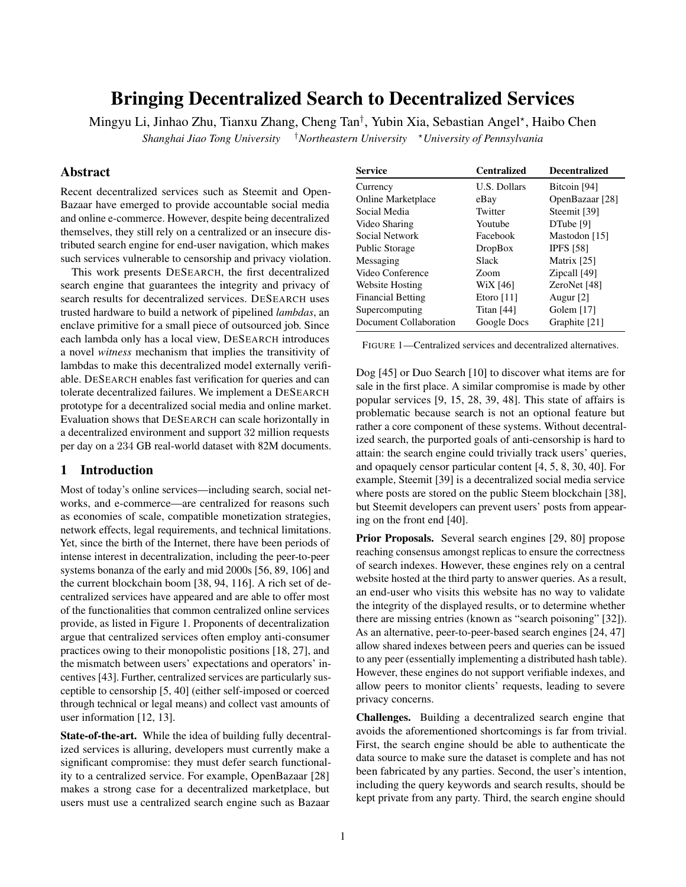# Bringing Decentralized Search to Decentralized Services

Mingyu Li, Jinhao Zhu, Tianxu Zhang, Cheng Tan<sup>†</sup>, Yubin Xia, Sebastian Angel\*, Haibo Chen

*Shanghai Jiao Tong University* †*Northeastern University* <sup>⋆</sup>*University of Pennsylvania*

# Abstract

Recent decentralized services such as Steemit and Open-Bazaar have emerged to provide accountable social media and online e-commerce. However, despite being decentralized themselves, they still rely on a centralized or an insecure distributed search engine for end-user navigation, which makes such services vulnerable to censorship and privacy violation.

This work presents DESEARCH, the first decentralized search engine that guarantees the integrity and privacy of search results for decentralized services. DESEARCH uses trusted hardware to build a network of pipelined *lambdas*, an enclave primitive for a small piece of outsourced job. Since each lambda only has a local view, DESEARCH introduces a novel *witness* mechanism that implies the transitivity of lambdas to make this decentralized model externally verifiable. DESEARCH enables fast verification for queries and can tolerate decentralized failures. We implement a DESEARCH prototype for a decentralized social media and online market. Evaluation shows that DESEARCH can scale horizontally in a decentralized environment and support 32 million requests per day on a 234 GB real-world dataset with 82M documents.

## 1 Introduction

Most of today's online services—including search, social networks, and e-commerce—are centralized for reasons such as economies of scale, compatible monetization strategies, network effects, legal requirements, and technical limitations. Yet, since the birth of the Internet, there have been periods of intense interest in decentralization, including the peer-to-peer systems bonanza of the early and mid 2000s [\[56,](#page-14-0) [89,](#page-15-0) [106\]](#page-16-0) and the current blockchain boom [\[38,](#page-13-0) [94,](#page-15-1) [116\]](#page-16-1). A rich set of decentralized services have appeared and are able to offer most of the functionalities that common centralized online services provide, as listed in [Figure 1.](#page-0-0) Proponents of decentralization argue that centralized services often employ anti-consumer practices owing to their monopolistic positions [\[18,](#page-13-1) [27\]](#page-13-2), and the mismatch between users' expectations and operators' incentives [\[43\]](#page-13-3). Further, centralized services are particularly susceptible to censorship [\[5,](#page-13-4) [40\]](#page-13-5) (either self-imposed or coerced through technical or legal means) and collect vast amounts of user information [\[12,](#page-13-6) [13\]](#page-13-7).

State-of-the-art. While the idea of building fully decentralized services is alluring, developers must currently make a significant compromise: they must defer search functionality to a centralized service. For example, OpenBazaar [\[28\]](#page-13-8) makes a strong case for a decentralized marketplace, but users must use a centralized search engine such as Bazaar

<span id="page-0-0"></span>

| <b>Service</b>           | <b>Centralized</b> | <b>Decentralized</b> |
|--------------------------|--------------------|----------------------|
| Currency                 | U.S. Dollars       | Bitcoin [94]         |
| Online Marketplace       | eBay               | OpenBazaar [28]      |
| Social Media             | Twitter            | Steemit [39]         |
| Video Sharing            | Youtube            | DTube [9]            |
| Social Network           | Facebook           | Mastodon [15]        |
| <b>Public Storage</b>    | <b>DropBox</b>     | <b>IPFS</b> [58]     |
| Messaging                | Slack              | Matrix [25]          |
| Video Conference         | Zoom               | Zipcall [49]         |
| Website Hosting          | WiX [46]           | ZeroNet [48]         |
| <b>Financial Betting</b> | Etoro $[11]$       | Augur $[2]$          |
| Supercomputing           | Titan $[44]$       | Golem $[17]$         |
| Document Collaboration   | Google Docs        | Graphite [21]        |

FIGURE 1—Centralized services and decentralized alternatives.

Dog [\[45\]](#page-13-18) or Duo Search [\[10\]](#page-13-19) to discover what items are for sale in the first place. A similar compromise is made by other popular services [\[9,](#page-13-10) [15,](#page-13-11) [28,](#page-13-8) [39,](#page-13-9) [48\]](#page-14-4). This state of affairs is problematic because search is not an optional feature but rather a core component of these systems. Without decentralized search, the purported goals of anti-censorship is hard to attain: the search engine could trivially track users' queries, and opaquely censor particular content [\[4,](#page-13-20) [5,](#page-13-4) [8,](#page-13-21) [30,](#page-13-22) [40\]](#page-13-5). For example, Steemit [\[39\]](#page-13-9) is a decentralized social media service where posts are stored on the public Steem blockchain [\[38\]](#page-13-0), but Steemit developers can prevent users' posts from appearing on the front end [\[40\]](#page-13-5).

Prior Proposals. Several search engines [\[29,](#page-13-23) [80\]](#page-15-2) propose reaching consensus amongst replicas to ensure the correctness of search indexes. However, these engines rely on a central website hosted at the third party to answer queries. As a result, an end-user who visits this website has no way to validate the integrity of the displayed results, or to determine whether there are missing entries (known as "search poisoning" [\[32\]](#page-13-24)). As an alternative, peer-to-peer-based search engines [\[24,](#page-13-25) [47\]](#page-14-5) allow shared indexes between peers and queries can be issued to any peer (essentially implementing a distributed hash table). However, these engines do not support verifiable indexes, and allow peers to monitor clients' requests, leading to severe privacy concerns.

Challenges. Building a decentralized search engine that avoids the aforementioned shortcomings is far from trivial. First, the search engine should be able to authenticate the data source to make sure the dataset is complete and has not been fabricated by any parties. Second, the user's intention, including the query keywords and search results, should be kept private from any party. Third, the search engine should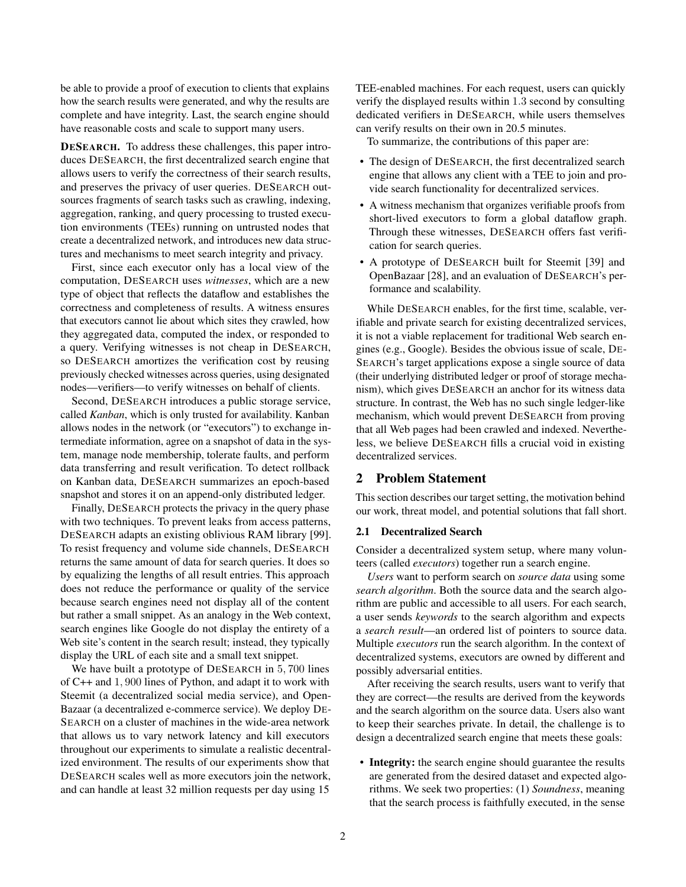be able to provide a proof of execution to clients that explains how the search results were generated, and why the results are complete and have integrity. Last, the search engine should have reasonable costs and scale to support many users.

DESEARCH. To address these challenges, this paper introduces DESEARCH, the first decentralized search engine that allows users to verify the correctness of their search results, and preserves the privacy of user queries. DESEARCH outsources fragments of search tasks such as crawling, indexing, aggregation, ranking, and query processing to trusted execution environments (TEEs) running on untrusted nodes that create a decentralized network, and introduces new data structures and mechanisms to meet search integrity and privacy.

First, since each executor only has a local view of the computation, DESEARCH uses *witnesses*, which are a new type of object that reflects the dataflow and establishes the correctness and completeness of results. A witness ensures that executors cannot lie about which sites they crawled, how they aggregated data, computed the index, or responded to a query. Verifying witnesses is not cheap in DESEARCH, so DESEARCH amortizes the verification cost by reusing previously checked witnesses across queries, using designated nodes—verifiers—to verify witnesses on behalf of clients.

Second, DESEARCH introduces a public storage service, called *Kanban*, which is only trusted for availability. Kanban allows nodes in the network (or "executors") to exchange intermediate information, agree on a snapshot of data in the system, manage node membership, tolerate faults, and perform data transferring and result verification. To detect rollback on Kanban data, DESEARCH summarizes an epoch-based snapshot and stores it on an append-only distributed ledger.

Finally, DESEARCH protects the privacy in the query phase with two techniques. To prevent leaks from access patterns, DESEARCH adapts an existing oblivious RAM library [\[99\]](#page-15-3). To resist frequency and volume side channels, DESEARCH returns the same amount of data for search queries. It does so by equalizing the lengths of all result entries. This approach does not reduce the performance or quality of the service because search engines need not display all of the content but rather a small snippet. As an analogy in the Web context, search engines like Google do not display the entirety of a Web site's content in the search result; instead, they typically display the URL of each site and a small text snippet.

We have built a prototype of DESEARCH in 5, 700 lines of C++ and 1, 900 lines of Python, and adapt it to work with Steemit (a decentralized social media service), and Open-Bazaar (a decentralized e-commerce service). We deploy DE-SEARCH on a cluster of machines in the wide-area network that allows us to vary network latency and kill executors throughout our experiments to simulate a realistic decentralized environment. The results of our experiments show that DESEARCH scales well as more executors join the network, and can handle at least 32 million requests per day using 15

TEE-enabled machines. For each request, users can quickly verify the displayed results within 1.3 second by consulting dedicated verifiers in DESEARCH, while users themselves can verify results on their own in 20.5 minutes.

To summarize, the contributions of this paper are:

- The design of DESEARCH, the first decentralized search engine that allows any client with a TEE to join and provide search functionality for decentralized services.
- A witness mechanism that organizes verifiable proofs from short-lived executors to form a global dataflow graph. Through these witnesses, DESEARCH offers fast verification for search queries.
- A prototype of DESEARCH built for Steemit [\[39\]](#page-13-9) and OpenBazaar [\[28\]](#page-13-8), and an evaluation of DESEARCH's performance and scalability.

While DESEARCH enables, for the first time, scalable, verifiable and private search for existing decentralized services, it is not a viable replacement for traditional Web search engines (e.g., Google). Besides the obvious issue of scale, DE-SEARCH's target applications expose a single source of data (their underlying distributed ledger or proof of storage mechanism), which gives DESEARCH an anchor for its witness data structure. In contrast, the Web has no such single ledger-like mechanism, which would prevent DESEARCH from proving that all Web pages had been crawled and indexed. Nevertheless, we believe DESEARCH fills a crucial void in existing decentralized services.

## 2 Problem Statement

This section describes our target setting, the motivation behind our work, threat model, and potential solutions that fall short.

#### <span id="page-1-0"></span>2.1 Decentralized Search

Consider a decentralized system setup, where many volunteers (called *executors*) together run a search engine.

*Users* want to perform search on *source data* using some *search algorithm*. Both the source data and the search algorithm are public and accessible to all users. For each search, a user sends *keywords* to the search algorithm and expects a *search result*—an ordered list of pointers to source data. Multiple *executors* run the search algorithm. In the context of decentralized systems, executors are owned by different and possibly adversarial entities.

After receiving the search results, users want to verify that they are correct—the results are derived from the keywords and the search algorithm on the source data. Users also want to keep their searches private. In detail, the challenge is to design a decentralized search engine that meets these goals:

• Integrity: the search engine should guarantee the results are generated from the desired dataset and expected algorithms. We seek two properties: (1) *Soundness*, meaning that the search process is faithfully executed, in the sense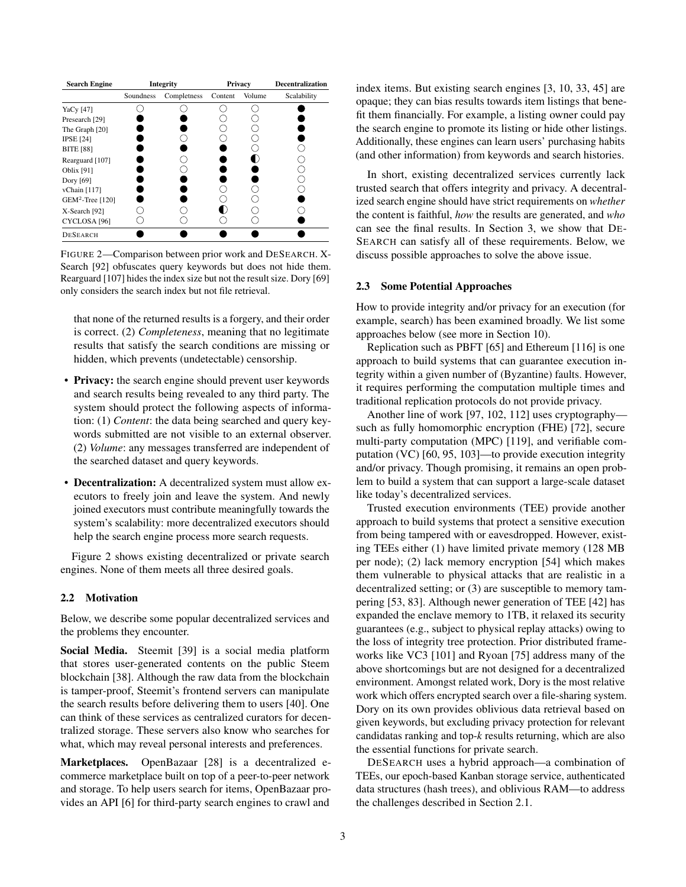<span id="page-2-0"></span>

| <b>Search Engine</b>    |           | Integrity   |         | Privacy | <b>Decentralization</b> |
|-------------------------|-----------|-------------|---------|---------|-------------------------|
|                         | Soundness | Completness | Content | Volume  | Scalability             |
| YaCy [47]               |           |             |         |         |                         |
| Presearch [29]          |           |             |         |         |                         |
| The Graph [20]          |           |             |         |         |                         |
| <b>IPSE</b> [24]        |           |             |         |         |                         |
| <b>BITE</b> [88]        |           |             |         |         |                         |
| Rearguard [107]         |           |             |         |         |                         |
| Oblix [91]              |           |             |         |         |                         |
| Dory [69]               |           |             |         |         |                         |
| vChain [117]            |           |             |         |         |                         |
| $GEM2$ -Tree [120]      |           |             |         |         |                         |
| X-Search [92]           |           |             |         |         |                         |
| CYCLOSA <sup>[96]</sup> |           |             |         |         |                         |
| <b>DESEARCH</b>         |           |             |         |         |                         |

FIGURE 2—Comparison between prior work and DESEARCH. X-Search [\[92\]](#page-15-6) obfuscates query keywords but does not hide them. Rearguard [\[107\]](#page-16-2) hides the index size but not the result size. Dory [\[69\]](#page-14-6) only considers the search index but not file retrieval.

that none of the returned results is a forgery, and their order is correct. (2) *Completeness*, meaning that no legitimate results that satisfy the search conditions are missing or hidden, which prevents (undetectable) censorship.

- Privacy: the search engine should prevent user keywords and search results being revealed to any third party. The system should protect the following aspects of information: (1) *Content*: the data being searched and query keywords submitted are not visible to an external observer. (2) *Volume*: any messages transferred are independent of the searched dataset and query keywords.
- Decentralization: A decentralized system must allow executors to freely join and leave the system. And newly joined executors must contribute meaningfully towards the system's scalability: more decentralized executors should help the search engine process more search requests.

[Figure 2](#page-2-0) shows existing decentralized or private search engines. None of them meets all three desired goals.

#### 2.2 Motivation

Below, we describe some popular decentralized services and the problems they encounter.

Social Media. Steemit [\[39\]](#page-13-9) is a social media platform that stores user-generated contents on the public Steem blockchain [\[38\]](#page-13-0). Although the raw data from the blockchain is tamper-proof, Steemit's frontend servers can manipulate the search results before delivering them to users [\[40\]](#page-13-5). One can think of these services as centralized curators for decentralized storage. These servers also know who searches for what, which may reveal personal interests and preferences.

Marketplaces. OpenBazaar [\[28\]](#page-13-8) is a decentralized ecommerce marketplace built on top of a peer-to-peer network and storage. To help users search for items, OpenBazaar provides an API [\[6\]](#page-13-27) for third-party search engines to crawl and

index items. But existing search engines [\[3,](#page-13-28) [10,](#page-13-19) [33,](#page-13-29) [45\]](#page-13-18) are opaque; they can bias results towards item listings that benefit them financially. For example, a listing owner could pay the search engine to promote its listing or hide other listings. Additionally, these engines can learn users' purchasing habits (and other information) from keywords and search histories.

In short, existing decentralized services currently lack trusted search that offers integrity and privacy. A decentralized search engine should have strict requirements on *whether* the content is faithful, *how* the results are generated, and *who* can see the final results. In Section [3,](#page-3-0) we show that DE-SEARCH can satisfy all of these requirements. Below, we discuss possible approaches to solve the above issue.

#### 2.3 Some Potential Approaches

How to provide integrity and/or privacy for an execution (for example, search) has been examined broadly. We list some approaches below (see more in Section [10\)](#page-11-0).

Replication such as PBFT [\[65\]](#page-14-7) and Ethereum [\[116\]](#page-16-1) is one approach to build systems that can guarantee execution integrity within a given number of (Byzantine) faults. However, it requires performing the computation multiple times and traditional replication protocols do not provide privacy.

Another line of work [\[97,](#page-15-8) [102,](#page-15-9) [112\]](#page-16-5) uses cryptography such as fully homomorphic encryption (FHE) [\[72\]](#page-14-8), secure multi-party computation (MPC) [\[119\]](#page-16-6), and verifiable computation (VC) [\[60,](#page-14-9) [95,](#page-15-10) [103\]](#page-15-11)—to provide execution integrity and/or privacy. Though promising, it remains an open problem to build a system that can support a large-scale dataset like today's decentralized services.

Trusted execution environments (TEE) provide another approach to build systems that protect a sensitive execution from being tampered with or eavesdropped. However, existing TEEs either (1) have limited private memory (128 MB per node); (2) lack memory encryption [\[54\]](#page-14-10) which makes them vulnerable to physical attacks that are realistic in a decentralized setting; or (3) are susceptible to memory tampering [\[53,](#page-14-11) [83\]](#page-15-12). Although newer generation of TEE [\[42\]](#page-13-30) has expanded the enclave memory to 1TB, it relaxed its security guarantees (e.g., subject to physical replay attacks) owing to the loss of integrity tree protection. Prior distributed frameworks like VC3 [\[101\]](#page-15-13) and Ryoan [\[75\]](#page-14-12) address many of the above shortcomings but are not designed for a decentralized environment. Amongst related work, Dory is the most relative work which offers encrypted search over a file-sharing system. Dory on its own provides oblivious data retrieval based on given keywords, but excluding privacy protection for relevant candidatas ranking and top-*k* results returning, which are also the essential functions for private search.

DESEARCH uses a hybrid approach—a combination of TEEs, our epoch-based Kanban storage service, authenticated data structures (hash trees), and oblivious RAM—to address the challenges described in Section [2.1.](#page-1-0)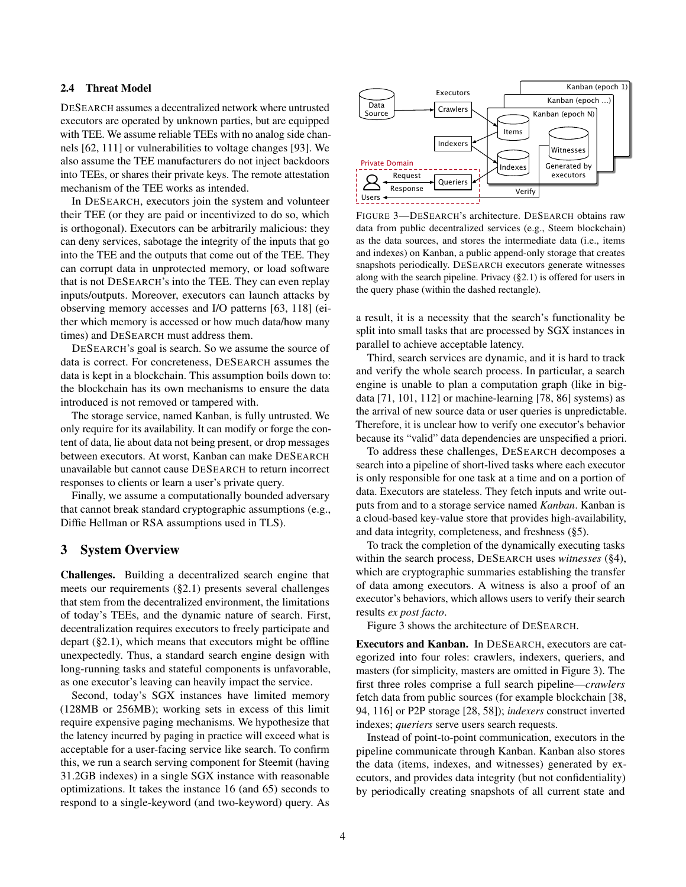#### <span id="page-3-2"></span>2.4 Threat Model

DESEARCH assumes a decentralized network where untrusted executors are operated by unknown parties, but are equipped with TEE. We assume reliable TEEs with no analog side channels [\[62,](#page-14-13) [111\]](#page-16-7) or vulnerabilities to voltage changes [\[93\]](#page-15-14). We also assume the TEE manufacturers do not inject backdoors into TEEs, or shares their private keys. The remote attestation mechanism of the TEE works as intended.

In DESEARCH, executors join the system and volunteer their TEE (or they are paid or incentivized to do so, which is orthogonal). Executors can be arbitrarily malicious: they can deny services, sabotage the integrity of the inputs that go into the TEE and the outputs that come out of the TEE. They can corrupt data in unprotected memory, or load software that is not DESEARCH's into the TEE. They can even replay inputs/outputs. Moreover, executors can launch attacks by observing memory accesses and I/O patterns [\[63,](#page-14-14) [118\]](#page-16-8) (either which memory is accessed or how much data/how many times) and DESEARCH must address them.

DESEARCH's goal is search. So we assume the source of data is correct. For concreteness, DESEARCH assumes the data is kept in a blockchain. This assumption boils down to: the blockchain has its own mechanisms to ensure the data introduced is not removed or tampered with.

The storage service, named Kanban, is fully untrusted. We only require for its availability. It can modify or forge the content of data, lie about data not being present, or drop messages between executors. At worst, Kanban can make DESEARCH unavailable but cannot cause DESEARCH to return incorrect responses to clients or learn a user's private query.

Finally, we assume a computationally bounded adversary that cannot break standard cryptographic assumptions (e.g., Diffie Hellman or RSA assumptions used in TLS).

### <span id="page-3-0"></span>3 System Overview

Challenges. Building a decentralized search engine that meets our requirements ([§2.1\)](#page-1-0) presents several challenges that stem from the decentralized environment, the limitations of today's TEEs, and the dynamic nature of search. First, decentralization requires executors to freely participate and depart ([§2.1\)](#page-1-0), which means that executors might be offline unexpectedly. Thus, a standard search engine design with long-running tasks and stateful components is unfavorable, as one executor's leaving can heavily impact the service.

Second, today's SGX instances have limited memory (128MB or 256MB); working sets in excess of this limit require expensive paging mechanisms. We hypothesize that the latency incurred by paging in practice will exceed what is acceptable for a user-facing service like search. To confirm this, we run a search serving component for Steemit (having 31.2GB indexes) in a single SGX instance with reasonable optimizations. It takes the instance 16 (and 65) seconds to respond to a single-keyword (and two-keyword) query. As

<span id="page-3-1"></span>

FIGURE 3—DESEARCH's architecture. DESEARCH obtains raw data from public decentralized services (e.g., Steem blockchain) as the data sources, and stores the intermediate data (i.e., items and indexes) on Kanban, a public append-only storage that creates snapshots periodically. DESEARCH executors generate witnesses along with the search pipeline. Privacy ([§2.1\)](#page-1-0) is offered for users in the query phase (within the dashed rectangle).

a result, it is a necessity that the search's functionality be split into small tasks that are processed by SGX instances in parallel to achieve acceptable latency.

Third, search services are dynamic, and it is hard to track and verify the whole search process. In particular, a search engine is unable to plan a computation graph (like in bigdata [\[71,](#page-14-15) [101,](#page-15-13) [112\]](#page-16-5) or machine-learning [\[78,](#page-15-15) [86\]](#page-15-16) systems) as the arrival of new source data or user queries is unpredictable. Therefore, it is unclear how to verify one executor's behavior because its "valid" data dependencies are unspecified a priori.

To address these challenges, DESEARCH decomposes a search into a pipeline of short-lived tasks where each executor is only responsible for one task at a time and on a portion of data. Executors are stateless. They fetch inputs and write outputs from and to a storage service named *Kanban*. Kanban is a cloud-based key-value store that provides high-availability, and data integrity, completeness, and freshness ([§5\)](#page-6-0).

To track the completion of the dynamically executing tasks within the search process, DESEARCH uses *witnesses* ([§4\)](#page-4-0), which are cryptographic summaries establishing the transfer of data among executors. A witness is also a proof of an executor's behaviors, which allows users to verify their search results *ex post facto*.

Figure [3](#page-3-1) shows the architecture of DESEARCH.

Executors and Kanban. In DESEARCH, executors are categorized into four roles: crawlers, indexers, queriers, and masters (for simplicity, masters are omitted in Figure [3\)](#page-3-1). The first three roles comprise a full search pipeline—*crawlers* fetch data from public sources (for example blockchain [\[38,](#page-13-0) [94,](#page-15-1) [116\]](#page-16-1) or P2P storage [\[28,](#page-13-8) [58\]](#page-14-1)); *indexers* construct inverted indexes; *queriers* serve users search requests.

Instead of point-to-point communication, executors in the pipeline communicate through Kanban. Kanban also stores the data (items, indexes, and witnesses) generated by executors, and provides data integrity (but not confidentiality) by periodically creating snapshots of all current state and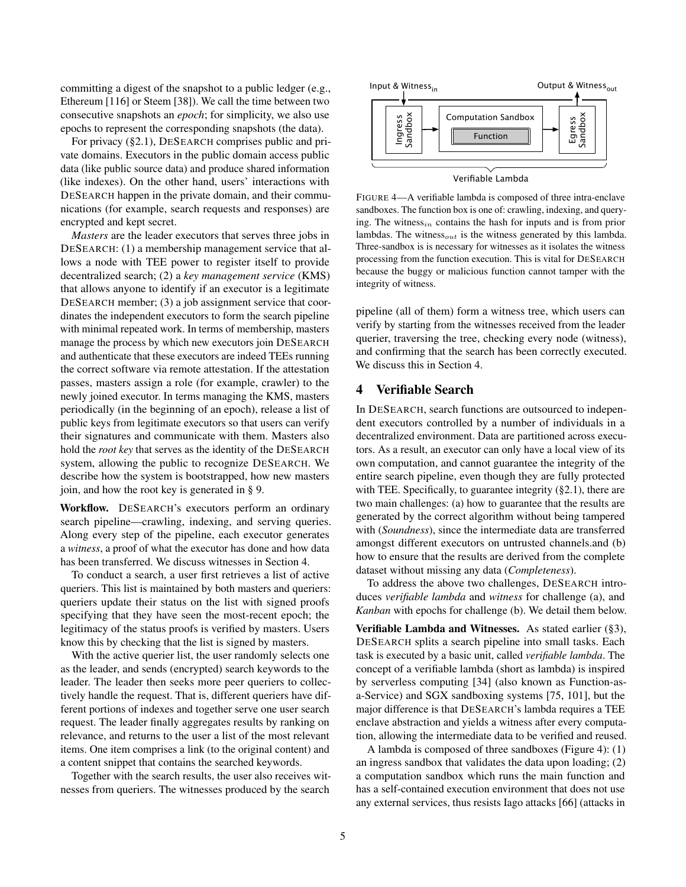committing a digest of the snapshot to a public ledger (e.g., Ethereum [\[116\]](#page-16-1) or Steem [\[38\]](#page-13-0)). We call the time between two consecutive snapshots an *epoch*; for simplicity, we also use epochs to represent the corresponding snapshots (the data).

For privacy ([§2.1\)](#page-1-0), DESEARCH comprises public and private domains. Executors in the public domain access public data (like public source data) and produce shared information (like indexes). On the other hand, users' interactions with DESEARCH happen in the private domain, and their communications (for example, search requests and responses) are encrypted and kept secret.

*Masters* are the leader executors that serves three jobs in DESEARCH: (1) a membership management service that allows a node with TEE power to register itself to provide decentralized search; (2) a *key management service* (KMS) that allows anyone to identify if an executor is a legitimate DESEARCH member; (3) a job assignment service that coordinates the independent executors to form the search pipeline with minimal repeated work. In terms of membership, masters manage the process by which new executors join DESEARCH and authenticate that these executors are indeed TEEs running the correct software via remote attestation. If the attestation passes, masters assign a role (for example, crawler) to the newly joined executor. In terms managing the KMS, masters periodically (in the beginning of an epoch), release a list of public keys from legitimate executors so that users can verify their signatures and communicate with them. Masters also hold the *root key* that serves as the identity of the DESEARCH system, allowing the public to recognize DESEARCH. We describe how the system is bootstrapped, how new masters join, and how the root key is generated in [§ 9.](#page-11-1) consective snapes for  $\sigma$  per also than the search of the search of the search of the search of the method of the search of the method of the method of the method of the method of the method of the method of the method o

Workflow. DESEARCH's executors perform an ordinary search pipeline—crawling, indexing, and serving queries. Along every step of the pipeline, each executor generates a *witness*, a proof of what the executor has done and how data has been transferred. We discuss witnesses in Section [4.](#page-4-0)

To conduct a search, a user first retrieves a list of active queriers. This list is maintained by both masters and queriers: queriers update their status on the list with signed proofs specifying that they have seen the most-recent epoch; the legitimacy of the status proofs is verified by masters. Users know this by checking that the list is signed by masters.

With the active querier list, the user randomly selects one as the leader, and sends (encrypted) search keywords to the leader. The leader then seeks more peer queriers to collectively handle the request. That is, different queriers have different portions of indexes and together serve one user search request. The leader finally aggregates results by ranking on relevance, and returns to the user a list of the most relevant items. One item comprises a link (to the original content) and a content snippet that contains the searched keywords.

Together with the search results, the user also receives wit-

<span id="page-4-1"></span>

Verifiable Lambda

FIGURE 4—A verifiable lambda is composed of three intra-enclave sandboxes. The function box is one of: crawling, indexing, and querying. The witness<sub>in</sub> contains the hash for inputs and is from prior lambdas. The witness $_{out}$  is the witness generated by this lambda. Three-sandbox is is necessary for witnesses as it isolates the witness processing from the function execution. This is vital for DESEARCH because the buggy or malicious function cannot tamper with the integrity of witness.

pipeline (all of them) form a witness tree, which users can verify by starting from the witnesses received from the leader querier, traversing the tree, checking every node (witness), and confirming that the search has been correctly executed. We discuss this in Section [4.](#page-4-0)

# <span id="page-4-0"></span>4 Verifiable Search

In DESEARCH, search functions are outsourced to independent executors controlled by a number of individuals in a decentralized environment. Data are partitioned across executors. As a result, an executor can only have a local view of its own computation, and cannot guarantee the integrity of the entire search pipeline, even though they are fully protected with TEE. Specifically, to guarantee integrity  $(\S 2.1)$ , there are two main challenges: (a) how to guarantee that the results are generated by the correct algorithm without being tampered with (*Soundness*), since the intermediate data are transferred amongst different executors on untrusted channels.and (b) how to ensure that the results are derived from the complete dataset without missing any data (*Completeness*).

To address the above two challenges, DESEARCH introduces *verifiable lambda* and *witness* for challenge (a), and *Kanban* with epochs for challenge (b). We detail them below.

Verifiable Lambda and Witnesses. As stated earlier ([§3\)](#page-3-0), DESEARCH splits a search pipeline into small tasks. Each task is executed by a basic unit, called *verifiable lambda*. The concept of a verifiable lambda (short as lambda) is inspired by serverless computing [\[34\]](#page-13-31) (also known as Function-asa-Service) and SGX sandboxing systems [\[75,](#page-14-12) [101\]](#page-15-13), but the major difference is that DESEARCH's lambda requires a TEE enclave abstraction and yields a witness after every computation, allowing the intermediate data to be verified and reused.

A lambda is composed of three sandboxes (Figure [4\)](#page-4-1): (1) an ingress sandbox that validates the data upon loading; (2) a computation sandbox which runs the main function and has a self-contained execution environment that does not use any external services, thus resists Iago attacks [\[66\]](#page-14-16) (attacks in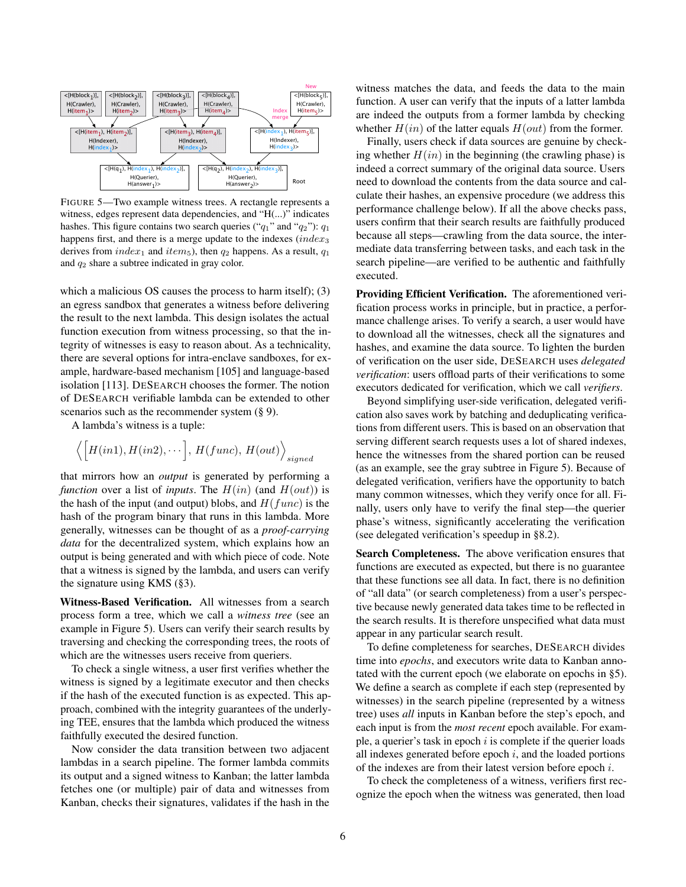<span id="page-5-0"></span>

FIGURE 5—Two example witness trees. A rectangle represents a witness, edges represent data dependencies, and "H(...)" indicates hashes. This figure contains two search queries (" $q_1$ " and " $q_2$ "):  $q_1$ happens first, and there is a merge update to the indexes  $(index<sub>3</sub>)$ derives from  $index_1$  and  $item_5$ ), then  $q_2$  happens. As a result,  $q_1$ and  $q_2$  share a subtree indicated in gray color.

which a malicious OS causes the process to harm itself); (3) an egress sandbox that generates a witness before delivering the result to the next lambda. This design isolates the actual function execution from witness processing, so that the integrity of witnesses is easy to reason about. As a technicality, there are several options for intra-enclave sandboxes, for example, hardware-based mechanism [\[105\]](#page-15-17) and language-based isolation [\[113\]](#page-16-9). DESEARCH chooses the former. The notion of DESEARCH verifiable lambda can be extended to other scenarios such as the recommender system  $(\S 9)$ .

A lambda's witness is a tuple:

$$
\langle \Big[H(in1), H(in2), \cdots\Big], H(func), H(out) \rangle_{signed}
$$

that mirrors how an *output* is generated by performing a *function* over a list of *inputs*. The  $H(in)$  (and  $H(out)$ ) is the hash of the input (and output) blobs, and  $H(func)$  is the hash of the program binary that runs in this lambda. More generally, witnesses can be thought of as a *proof-carrying data* for the decentralized system, which explains how an output is being generated and with which piece of code. Note that a witness is signed by the lambda, and users can verify the signature using KMS ([§3\)](#page-3-1).

Witness-Based Verification. All witnesses from a search process form a tree, which we call a *witness tree* (see an example in Figure [5\)](#page-5-0). Users can verify their search results by traversing and checking the corresponding trees, the roots of which are the witnesses users receive from queriers.

To check a single witness, a user first verifies whether the witness is signed by a legitimate executor and then checks if the hash of the executed function is as expected. This approach, combined with the integrity guarantees of the underlying TEE, ensures that the lambda which produced the witness faithfully executed the desired function.

Now consider the data transition between two adjacent lambdas in a search pipeline. The former lambda commits its output and a signed witness to Kanban; the latter lambda fetches one (or multiple) pair of data and witnesses from Kanban, checks their signatures, validates if the hash in the

witness matches the data, and feeds the data to the main function. A user can verify that the inputs of a latter lambda are indeed the outputs from a former lambda by checking whether  $H(in)$  of the latter equals  $H(out)$  from the former.

Finally, users check if data sources are genuine by checking whether  $H(in)$  in the beginning (the crawling phase) is indeed a correct summary of the original data source. Users need to download the contents from the data source and calculate their hashes, an expensive procedure (we address this performance challenge below). If all the above checks pass, users confirm that their search results are faithfully produced because all steps—crawling from the data source, the intermediate data transferring between tasks, and each task in the search pipeline—are verified to be authentic and faithfully executed.

Providing Efficient Verification. The aforementioned verification process works in principle, but in practice, a performance challenge arises. To verify a search, a user would have to download all the witnesses, check all the signatures and hashes, and examine the data source. To lighten the burden of verification on the user side, DESEARCH uses *delegated verification*: users offload parts of their verifications to some executors dedicated for verification, which we call *verifiers*.

Beyond simplifying user-side verification, delegated verification also saves work by batching and deduplicating verifications from different users. This is based on an observation that serving different search requests uses a lot of shared indexes, hence the witnesses from the shared portion can be reused (as an example, see the gray subtree in Figure [5\)](#page-5-0). Because of delegated verification, verifiers have the opportunity to batch many common witnesses, which they verify once for all. Finally, users only have to verify the final step—the querier phase's witness, significantly accelerating the verification (see delegated verification's speedup in [§8.2\)](#page-10-0).

Search Completeness. The above verification ensures that functions are executed as expected, but there is no guarantee that these functions see all data. In fact, there is no definition of "all data" (or search completeness) from a user's perspective because newly generated data takes time to be reflected in the search results. It is therefore unspecified what data must appear in any particular search result.

To define completeness for searches, DESEARCH divides time into *epochs*, and executors write data to Kanban annotated with the current epoch (we elaborate on epochs in [§5\)](#page-6-0). We define a search as complete if each step (represented by witnesses) in the search pipeline (represented by a witness tree) uses *all* inputs in Kanban before the step's epoch, and each input is from the *most recent* epoch available. For example, a querier's task in epoch  $i$  is complete if the querier loads all indexes generated before epoch  $i$ , and the loaded portions of the indexes are from their latest version before epoch i.

To check the completeness of a witness, verifiers first recognize the epoch when the witness was generated, then load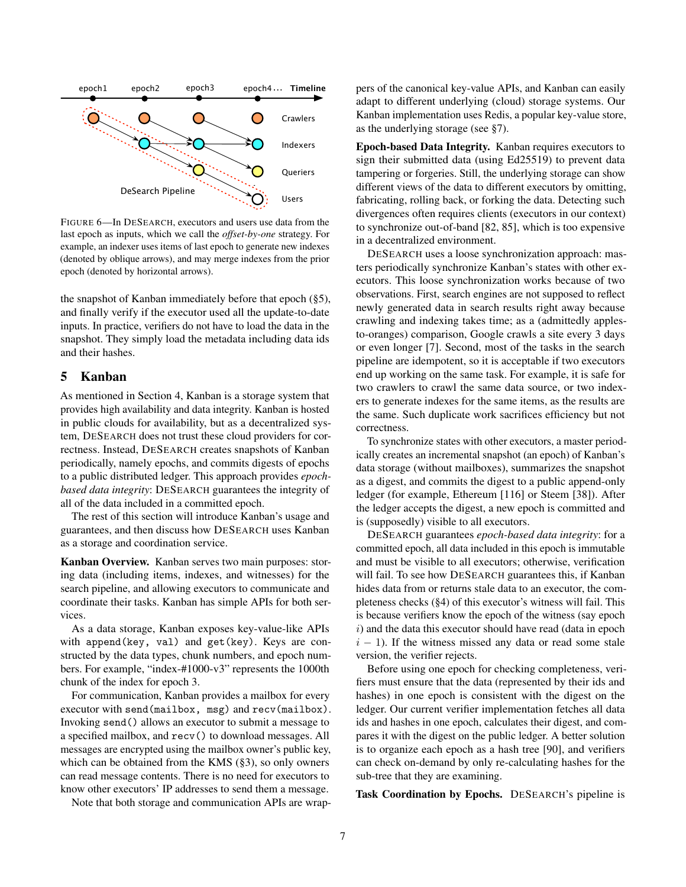<span id="page-6-1"></span>

FIGURE 6—In DESEARCH, executors and users use data from the last epoch as inputs, which we call the *offset-by-one* strategy. For example, an indexer uses items of last epoch to generate new indexes (denoted by oblique arrows), and may merge indexes from the prior epoch (denoted by horizontal arrows).

the snapshot of Kanban immediately before that epoch ([§5\)](#page-6-0), and finally verify if the executor used all the update-to-date inputs. In practice, verifiers do not have to load the data in the snapshot. They simply load the metadata including data ids and their hashes.

## <span id="page-6-0"></span>5 Kanban

As mentioned in Section [4,](#page-4-0) Kanban is a storage system that provides high availability and data integrity. Kanban is hosted in public clouds for availability, but as a decentralized system, DESEARCH does not trust these cloud providers for correctness. Instead, DESEARCH creates snapshots of Kanban periodically, namely epochs, and commits digests of epochs to a public distributed ledger. This approach provides *epochbased data integrity*: DESEARCH guarantees the integrity of all of the data included in a committed epoch.

The rest of this section will introduce Kanban's usage and guarantees, and then discuss how DESEARCH uses Kanban as a storage and coordination service.

Kanban Overview. Kanban serves two main purposes: storing data (including items, indexes, and witnesses) for the search pipeline, and allowing executors to communicate and coordinate their tasks. Kanban has simple APIs for both services.

As a data storage, Kanban exposes key-value-like APIs with append(key, val) and get(key). Keys are constructed by the data types, chunk numbers, and epoch numbers. For example, "index-#1000-v3" represents the 1000th chunk of the index for epoch 3.

For communication, Kanban provides a mailbox for every executor with send(mailbox, msg) and recv(mailbox). Invoking send() allows an executor to submit a message to a specified mailbox, and recv() to download messages. All messages are encrypted using the mailbox owner's public key, which can be obtained from the KMS ([§3\)](#page-3-1), so only owners can read message contents. There is no need for executors to know other executors' IP addresses to send them a message.

Note that both storage and communication APIs are wrap-

pers of the canonical key-value APIs, and Kanban can easily adapt to different underlying (cloud) storage systems. Our Kanban implementation uses Redis, a popular key-value store, as the underlying storage (see [§7\)](#page-8-0).

Epoch-based Data Integrity. Kanban requires executors to sign their submitted data (using Ed25519) to prevent data tampering or forgeries. Still, the underlying storage can show different views of the data to different executors by omitting, fabricating, rolling back, or forking the data. Detecting such divergences often requires clients (executors in our context) to synchronize out-of-band [\[82,](#page-15-18) [85\]](#page-15-19), which is too expensive in a decentralized environment.

DESEARCH uses a loose synchronization approach: masters periodically synchronize Kanban's states with other executors. This loose synchronization works because of two observations. First, search engines are not supposed to reflect newly generated data in search results right away because crawling and indexing takes time; as a (admittedly applesto-oranges) comparison, Google crawls a site every 3 days or even longer [\[7\]](#page-13-32). Second, most of the tasks in the search pipeline are idempotent, so it is acceptable if two executors end up working on the same task. For example, it is safe for two crawlers to crawl the same data source, or two indexers to generate indexes for the same items, as the results are the same. Such duplicate work sacrifices efficiency but not correctness.

To synchronize states with other executors, a master periodically creates an incremental snapshot (an epoch) of Kanban's data storage (without mailboxes), summarizes the snapshot as a digest, and commits the digest to a public append-only ledger (for example, Ethereum [\[116\]](#page-16-1) or Steem [\[38\]](#page-13-0)). After the ledger accepts the digest, a new epoch is committed and is (supposedly) visible to all executors.

DESEARCH guarantees *epoch-based data integrity*: for a committed epoch, all data included in this epoch is immutable and must be visible to all executors; otherwise, verification will fail. To see how DESEARCH guarantees this, if Kanban hides data from or returns stale data to an executor, the completeness checks ([§4\)](#page-5-0) of this executor's witness will fail. This is because verifiers know the epoch of the witness (say epoch  $i)$  and the data this executor should have read (data in epoch  $i - 1$ ). If the witness missed any data or read some stale version, the verifier rejects.

Before using one epoch for checking completeness, verifiers must ensure that the data (represented by their ids and hashes) in one epoch is consistent with the digest on the ledger. Our current verifier implementation fetches all data ids and hashes in one epoch, calculates their digest, and compares it with the digest on the public ledger. A better solution is to organize each epoch as a hash tree [\[90\]](#page-15-20), and verifiers can check on-demand by only re-calculating hashes for the sub-tree that they are examining.

Task Coordination by Epochs. DESEARCH's pipeline is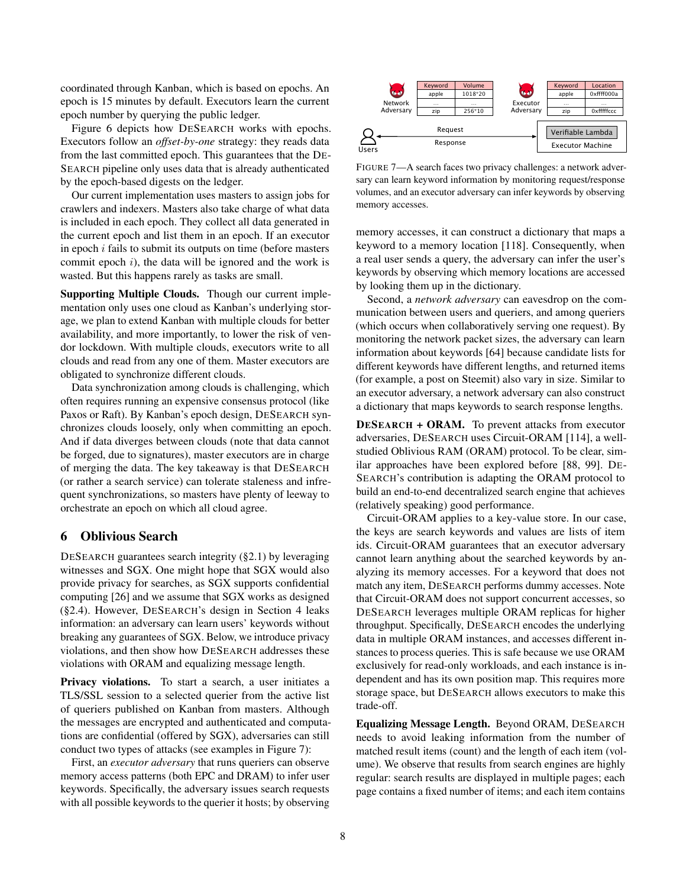coordinated through Kanban, which is based on epochs. An epoch is 15 minutes by default. Executors learn the current epoch number by querying the public ledger.

Figure [6](#page-6-1) depicts how DESEARCH works with epochs. Executors follow an *offset-by-one* strategy: they reads data from the last committed epoch. This guarantees that the DE-SEARCH pipeline only uses data that is already authenticated by the epoch-based digests on the ledger.

Our current implementation uses masters to assign jobs for crawlers and indexers. Masters also take charge of what data is included in each epoch. They collect all data generated in the current epoch and list them in an epoch. If an executor in epoch  $i$  fails to submit its outputs on time (before masters commit epoch  $i$ ), the data will be ignored and the work is wasted. But this happens rarely as tasks are small.

Supporting Multiple Clouds. Though our current implementation only uses one cloud as Kanban's underlying storage, we plan to extend Kanban with multiple clouds for better availability, and more importantly, to lower the risk of vendor lockdown. With multiple clouds, executors write to all clouds and read from any one of them. Master executors are obligated to synchronize different clouds.

Data synchronization among clouds is challenging, which often requires running an expensive consensus protocol (like Paxos or Raft). By Kanban's epoch design, DESEARCH synchronizes clouds loosely, only when committing an epoch. And if data diverges between clouds (note that data cannot be forged, due to signatures), master executors are in charge of merging the data. The key takeaway is that DESEARCH (or rather a search service) can tolerate staleness and infrequent synchronizations, so masters have plenty of leeway to orchestrate an epoch on which all cloud agree.

#### 6 Oblivious Search

DESEARCH guarantees search integrity ([§2.1\)](#page-1-0) by leveraging witnesses and SGX. One might hope that SGX would also provide privacy for searches, as SGX supports confidential computing [\[26\]](#page-13-33) and we assume that SGX works as designed ([§2.4\)](#page-3-2). However, DESEARCH's design in Section [4](#page-4-0) leaks information: an adversary can learn users' keywords without breaking any guarantees of SGX. Below, we introduce privacy violations, and then show how DESEARCH addresses these violations with ORAM and equalizing message length.

Privacy violations. To start a search, a user initiates a TLS/SSL session to a selected querier from the active list of queriers published on Kanban from masters. Although the messages are encrypted and authenticated and computations are confidential (offered by SGX), adversaries can still conduct two types of attacks (see examples in Figure [7\)](#page-7-0):

First, an *executor adversary* that runs queriers can observe memory access patterns (both EPC and DRAM) to infer user keywords. Specifically, the adversary issues search requests with all possible keywords to the querier it hosts; by observing

<span id="page-7-0"></span>

FIGURE 7—A search faces two privacy challenges: a network adversary can learn keyword information by monitoring request/response volumes, and an executor adversary can infer keywords by observing memory accesses.

memory accesses, it can construct a dictionary that maps a keyword to a memory location [\[118\]](#page-16-8). Consequently, when a real user sends a query, the adversary can infer the user's keywords by observing which memory locations are accessed by looking them up in the dictionary.

Second, a *network adversary* can eavesdrop on the communication between users and queriers, and among queriers (which occurs when collaboratively serving one request). By monitoring the network packet sizes, the adversary can learn information about keywords [\[64\]](#page-14-17) because candidate lists for different keywords have different lengths, and returned items (for example, a post on Steemit) also vary in size. Similar to an executor adversary, a network adversary can also construct a dictionary that maps keywords to search response lengths.

DESEARCH + ORAM. To prevent attacks from executor adversaries, DESEARCH uses Circuit-ORAM [\[114\]](#page-16-10), a wellstudied Oblivious RAM (ORAM) protocol. To be clear, similar approaches have been explored before [\[88,](#page-15-4) [99\]](#page-15-3). DE-SEARCH's contribution is adapting the ORAM protocol to build an end-to-end decentralized search engine that achieves (relatively speaking) good performance.

Circuit-ORAM applies to a key-value store. In our case, the keys are search keywords and values are lists of item ids. Circuit-ORAM guarantees that an executor adversary cannot learn anything about the searched keywords by analyzing its memory accesses. For a keyword that does not match any item, DESEARCH performs dummy accesses. Note that Circuit-ORAM does not support concurrent accesses, so DESEARCH leverages multiple ORAM replicas for higher throughput. Specifically, DESEARCH encodes the underlying data in multiple ORAM instances, and accesses different instances to process queries. This is safe because we use ORAM exclusively for read-only workloads, and each instance is independent and has its own position map. This requires more storage space, but DESEARCH allows executors to make this trade-off.

Equalizing Message Length. Beyond ORAM, DESEARCH needs to avoid leaking information from the number of matched result items (count) and the length of each item (volume). We observe that results from search engines are highly regular: search results are displayed in multiple pages; each page contains a fixed number of items; and each item contains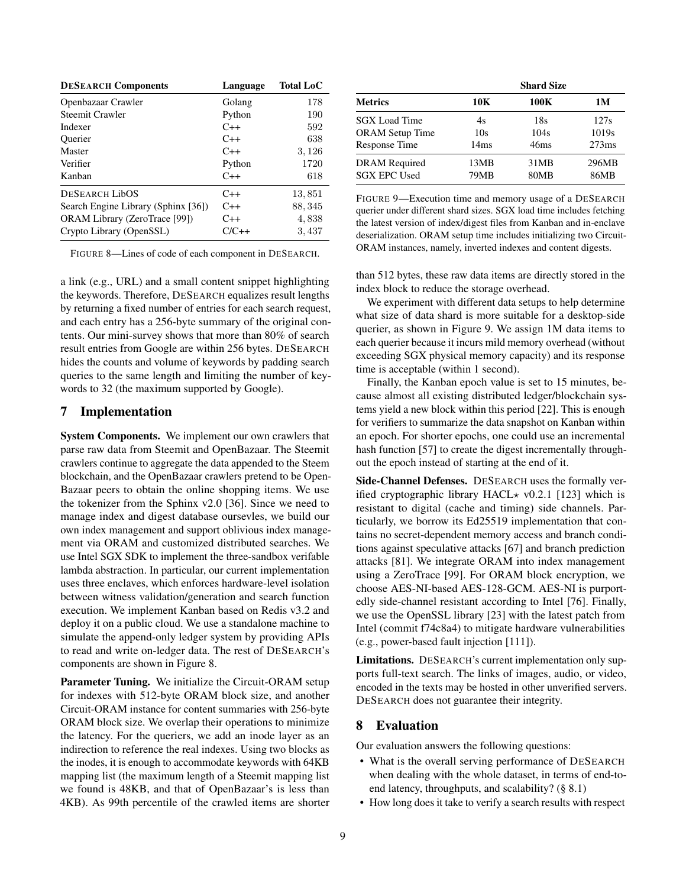<span id="page-8-1"></span>

| <b>DESEARCH Components</b>           | Language | <b>Total LoC</b> |
|--------------------------------------|----------|------------------|
| Openbazaar Crawler                   | Golang   | 178              |
| <b>Steemit Crawler</b>               | Python   | 190              |
| Indexer                              | $C++$    | 592              |
| <b>Ouerier</b>                       | $C++$    | 638              |
| Master                               | $C++$    | 3, 126           |
| Verifier                             | Python   | 1720             |
| Kanban                               | $C++$    | 618              |
| <b>DESEARCH LibOS</b>                | $C++$    | 13,851           |
| Search Engine Library (Sphinx [36])  | $C++$    | 88, 345          |
| <b>ORAM Library (ZeroTrace [99])</b> | $C++$    | 4,838            |
| Crypto Library (OpenSSL)             | $C/C++$  | 3,437            |

FIGURE 8—Lines of code of each component in DESEARCH.

a link (e.g., URL) and a small content snippet highlighting the keywords. Therefore, DESEARCH equalizes result lengths by returning a fixed number of entries for each search request, and each entry has a 256-byte summary of the original contents. Our mini-survey shows that more than 80% of search result entries from Google are within 256 bytes. DESEARCH hides the counts and volume of keywords by padding search queries to the same length and limiting the number of keywords to 32 (the maximum supported by Google).

## <span id="page-8-0"></span>7 Implementation

System Components. We implement our own crawlers that parse raw data from Steemit and OpenBazaar. The Steemit crawlers continue to aggregate the data appended to the Steem blockchain, and the OpenBazaar crawlers pretend to be Open-Bazaar peers to obtain the online shopping items. We use the tokenizer from the Sphinx v2.0 [\[36\]](#page-13-34). Since we need to manage index and digest database oursevles, we build our own index management and support oblivious index management via ORAM and customized distributed searches. We use Intel SGX SDK to implement the three-sandbox verifable lambda abstraction. In particular, our current implementation uses three enclaves, which enforces hardware-level isolation between witness validation/generation and search function execution. We implement Kanban based on Redis v3.2 and deploy it on a public cloud. We use a standalone machine to simulate the append-only ledger system by providing APIs to read and write on-ledger data. The rest of DESEARCH's components are shown in [Figure 8.](#page-8-1)

Parameter Tuning. We initialize the Circuit-ORAM setup for indexes with 512-byte ORAM block size, and another Circuit-ORAM instance for content summaries with 256-byte ORAM block size. We overlap their operations to minimize the latency. For the queriers, we add an inode layer as an indirection to reference the real indexes. Using two blocks as the inodes, it is enough to accommodate keywords with 64KB mapping list (the maximum length of a Steemit mapping list we found is 48KB, and that of OpenBazaar's is less than 4KB). As 99th percentile of the crawled items are shorter

<span id="page-8-2"></span>

|                        | <b>Shard Size</b> |             |                   |  |
|------------------------|-------------------|-------------|-------------------|--|
| <b>Metrics</b>         | 10K               | 100K        | 1M                |  |
| <b>SGX</b> Load Time   | 4s                | 18s         | 127s              |  |
| <b>ORAM Setup Time</b> | 10s               | 104s        | 1019 <sub>s</sub> |  |
| Response Time          | 14 <sub>ms</sub>  | 46ms        | 273ms             |  |
| <b>DRAM</b> Required   | 13MB              | 31MB        | 296MB             |  |
| <b>SGX EPC Used</b>    | 79MB              | <b>80MB</b> | 86MB              |  |

FIGURE 9—Execution time and memory usage of a DESEARCH querier under different shard sizes. SGX load time includes fetching the latest version of index/digest files from Kanban and in-enclave deserialization. ORAM setup time includes initializing two Circuit-ORAM instances, namely, inverted indexes and content digests.

than 512 bytes, these raw data items are directly stored in the index block to reduce the storage overhead.

We experiment with different data setups to help determine what size of data shard is more suitable for a desktop-side querier, as shown in [Figure 9.](#page-8-2) We assign 1M data items to each querier because it incurs mild memory overhead (without exceeding SGX physical memory capacity) and its response time is acceptable (within 1 second).

Finally, the Kanban epoch value is set to 15 minutes, because almost all existing distributed ledger/blockchain systems yield a new block within this period [\[22\]](#page-13-35). This is enough for verifiers to summarize the data snapshot on Kanban within an epoch. For shorter epochs, one could use an incremental hash function [\[57\]](#page-14-18) to create the digest incrementally throughout the epoch instead of starting at the end of it.

Side-Channel Defenses. DESEARCH uses the formally verified cryptographic library HACL $\star$  v0.2.1 [\[123\]](#page-16-11) which is resistant to digital (cache and timing) side channels. Particularly, we borrow its Ed25519 implementation that contains no secret-dependent memory access and branch conditions against speculative attacks [\[67\]](#page-14-19) and branch prediction attacks [\[81\]](#page-15-21). We integrate ORAM into index management using a ZeroTrace [\[99\]](#page-15-3). For ORAM block encryption, we choose AES-NI-based AES-128-GCM. AES-NI is purportedly side-channel resistant according to Intel [\[76\]](#page-14-20). Finally, we use the OpenSSL library [\[23\]](#page-13-36) with the latest patch from Intel (commit f74c8a4) to mitigate hardware vulnerabilities (e.g., power-based fault injection [\[111\]](#page-16-7)).

Limitations. DESEARCH's current implementation only supports full-text search. The links of images, audio, or video, encoded in the texts may be hosted in other unverified servers. DESEARCH does not guarantee their integrity.

## 8 Evaluation

Our evaluation answers the following questions:

- What is the overall serving performance of DESEARCH when dealing with the whole dataset, in terms of end-toend latency, throughputs, and scalability? [\(§ 8.1\)](#page-9-0)
- How long does it take to verify a search results with respect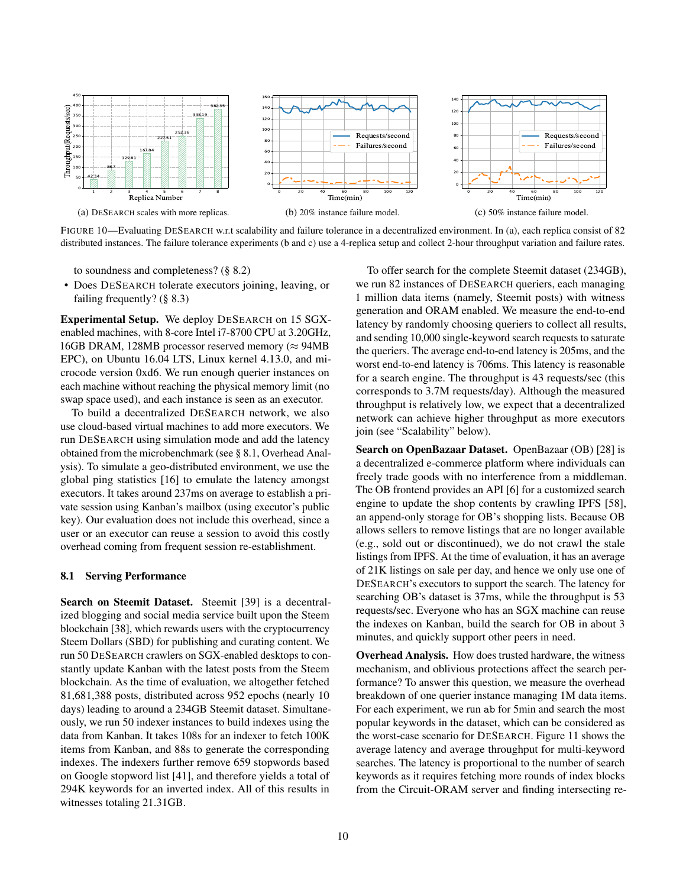<span id="page-9-1"></span>

FIGURE 10—Evaluating DESEARCH w.r.t scalability and failure tolerance in a decentralized environment. In (a), each replica consist of 82 distributed instances. The failure tolerance experiments (b and c) use a 4-replica setup and collect 2-hour throughput variation and failure rates.

to soundness and completeness? [\(§ 8.2\)](#page-10-0)

• Does DESEARCH tolerate executors joining, leaving, or failing frequently? [\(§ 8.3\)](#page-10-1)

Experimental Setup. We deploy DESEARCH on 15 SGXenabled machines, with 8-core Intel i7-8700 CPU at 3.20GHz, 16GB DRAM, 128MB processor reserved memory ( $\approx$  94MB EPC), on Ubuntu 16.04 LTS, Linux kernel 4.13.0, and microcode version 0xd6. We run enough querier instances on each machine without reaching the physical memory limit (no swap space used), and each instance is seen as an executor.

To build a decentralized DESEARCH network, we also use cloud-based virtual machines to add more executors. We run DESEARCH using simulation mode and add the latency obtained from the microbenchmark (see [§ 8.1,](#page-9-0) Overhead Analysis). To simulate a geo-distributed environment, we use the global ping statistics [\[16\]](#page-13-37) to emulate the latency amongst executors. It takes around 237ms on average to establish a private session using Kanban's mailbox (using executor's public key). Our evaluation does not include this overhead, since a user or an executor can reuse a session to avoid this costly overhead coming from frequent session re-establishment.

#### <span id="page-9-0"></span>8.1 Serving Performance

Search on Steemit Dataset. Steemit [\[39\]](#page-13-9) is a decentralized blogging and social media service built upon the Steem blockchain [\[38\]](#page-13-0), which rewards users with the cryptocurrency Steem Dollars (SBD) for publishing and curating content. We run 50 DESEARCH crawlers on SGX-enabled desktops to constantly update Kanban with the latest posts from the Steem blockchain. As the time of evaluation, we altogether fetched 81,681,388 posts, distributed across 952 epochs (nearly 10 days) leading to around a 234GB Steemit dataset. Simultaneously, we run 50 indexer instances to build indexes using the data from Kanban. It takes 108s for an indexer to fetch 100K items from Kanban, and 88s to generate the corresponding indexes. The indexers further remove 659 stopwords based on Google stopword list [\[41\]](#page-13-38), and therefore yields a total of 294K keywords for an inverted index. All of this results in witnesses totaling 21.31GB.

To offer search for the complete Steemit dataset (234GB), we run 82 instances of DESEARCH queriers, each managing 1 million data items (namely, Steemit posts) with witness generation and ORAM enabled. We measure the end-to-end latency by randomly choosing queriers to collect all results, and sending 10,000 single-keyword search requests to saturate the queriers. The average end-to-end latency is 205ms, and the worst end-to-end latency is 706ms. This latency is reasonable for a search engine. The throughput is 43 requests/sec (this corresponds to 3.7M requests/day). Although the measured throughput is relatively low, we expect that a decentralized network can achieve higher throughput as more executors join (see "Scalability" below).

Search on OpenBazaar Dataset. OpenBazaar (OB) [\[28\]](#page-13-8) is a decentralized e-commerce platform where individuals can freely trade goods with no interference from a middleman. The OB frontend provides an API [\[6\]](#page-13-27) for a customized search engine to update the shop contents by crawling IPFS [\[58\]](#page-14-1), an append-only storage for OB's shopping lists. Because OB allows sellers to remove listings that are no longer available (e.g., sold out or discontinued), we do not crawl the stale listings from IPFS. At the time of evaluation, it has an average of 21K listings on sale per day, and hence we only use one of DESEARCH's executors to support the search. The latency for searching OB's dataset is 37ms, while the throughput is 53 requests/sec. Everyone who has an SGX machine can reuse the indexes on Kanban, build the search for OB in about 3 minutes, and quickly support other peers in need.

Overhead Analysis. How does trusted hardware, the witness mechanism, and oblivious protections affect the search performance? To answer this question, we measure the overhead breakdown of one querier instance managing 1M data items. For each experiment, we run ab for 5min and search the most popular keywords in the dataset, which can be considered as the worst-case scenario for DESEARCH. [Figure 11](#page-10-2) shows the average latency and average throughput for multi-keyword searches. The latency is proportional to the number of search keywords as it requires fetching more rounds of index blocks from the Circuit-ORAM server and finding intersecting re-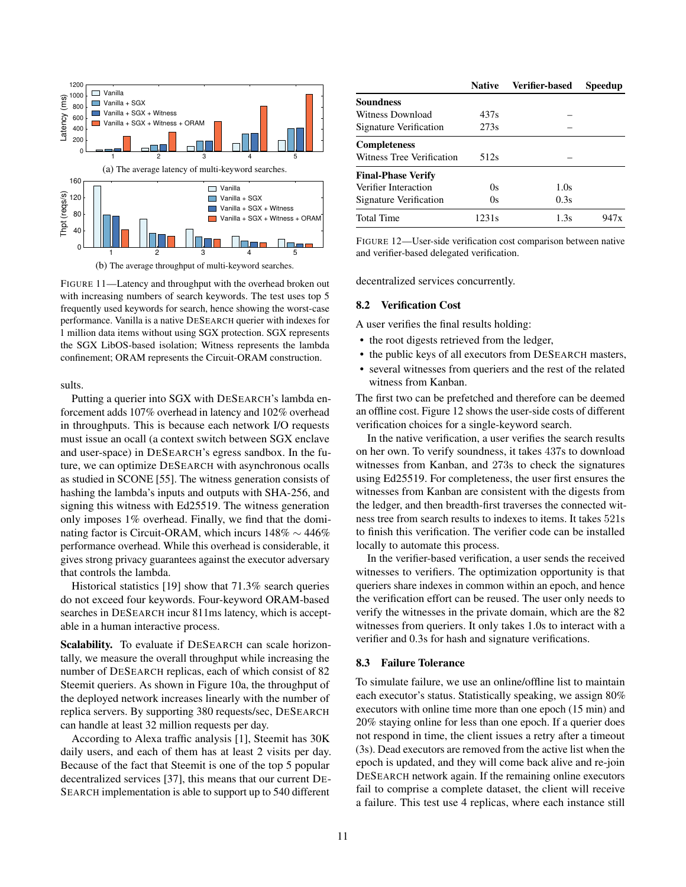<span id="page-10-2"></span>

FIGURE 11—Latency and throughput with the overhead broken out with increasing numbers of search keywords. The test uses top 5 frequently used keywords for search, hence showing the worst-case performance. Vanilla is a native DESEARCH querier with indexes for 1 million data items without using SGX protection. SGX represents the SGX LibOS-based isolation; Witness represents the lambda confinement; ORAM represents the Circuit-ORAM construction.

sults.

Putting a querier into SGX with DESEARCH's lambda enforcement adds 107% overhead in latency and 102% overhead in throughputs. This is because each network I/O requests must issue an ocall (a context switch between SGX enclave and user-space) in DESEARCH's egress sandbox. In the future, we can optimize DESEARCH with asynchronous ocalls as studied in SCONE [\[55\]](#page-14-21). The witness generation consists of hashing the lambda's inputs and outputs with SHA-256, and signing this witness with Ed25519. The witness generation only imposes 1% overhead. Finally, we find that the dominating factor is Circuit-ORAM, which incurs 148% ∼ 446% performance overhead. While this overhead is considerable, it gives strong privacy guarantees against the executor adversary that controls the lambda.

Historical statistics [\[19\]](#page-13-39) show that 71.3% search queries do not exceed four keywords. Four-keyword ORAM-based searches in DESEARCH incur 811ms latency, which is acceptable in a human interactive process.

Scalability. To evaluate if DESEARCH can scale horizontally, we measure the overall throughput while increasing the number of DESEARCH replicas, each of which consist of 82 Steemit queriers. As shown in [Figure 10a,](#page-9-1) the throughput of the deployed network increases linearly with the number of replica servers. By supporting 380 requests/sec, DESEARCH can handle at least 32 million requests per day.

According to Alexa traffic analysis [\[1\]](#page-13-40), Steemit has 30K daily users, and each of them has at least 2 visits per day. Because of the fact that Steemit is one of the top 5 popular decentralized services [\[37\]](#page-13-41), this means that our current DE-SEARCH implementation is able to support up to 540 different

<span id="page-10-3"></span>

|                           | <b>Native</b>     | <b>Verifier-based</b> | <b>Speedup</b> |
|---------------------------|-------------------|-----------------------|----------------|
| <b>Soundness</b>          |                   |                       |                |
| Witness Download          | 437s              |                       |                |
| Signature Verification    | 273s              |                       |                |
| <b>Completeness</b>       |                   |                       |                |
| Witness Tree Verification | 512s              |                       |                |
| <b>Final-Phase Verify</b> |                   |                       |                |
| Verifier Interaction      | 0s                | 1.0s                  |                |
| Signature Verification    | 0s                | 0.3s                  |                |
| <b>Total Time</b>         | 1231 <sub>s</sub> | 1.3s                  | $94'$ /x       |

FIGURE 12—User-side verification cost comparison between native and verifier-based delegated verification.

decentralized services concurrently.

#### <span id="page-10-0"></span>8.2 Verification Cost

A user verifies the final results holding:

- the root digests retrieved from the ledger,
- the public keys of all executors from DESEARCH masters,
- several witnesses from queriers and the rest of the related witness from Kanban.

The first two can be prefetched and therefore can be deemed an offline cost. [Figure 12](#page-10-3) shows the user-side costs of different verification choices for a single-keyword search.

In the native verification, a user verifies the search results on her own. To verify soundness, it takes 437s to download witnesses from Kanban, and 273s to check the signatures using Ed25519. For completeness, the user first ensures the witnesses from Kanban are consistent with the digests from the ledger, and then breadth-first traverses the connected witness tree from search results to indexes to items. It takes 521s to finish this verification. The verifier code can be installed locally to automate this process.

In the verifier-based verification, a user sends the received witnesses to verifiers. The optimization opportunity is that queriers share indexes in common within an epoch, and hence the verification effort can be reused. The user only needs to verify the witnesses in the private domain, which are the 82 witnesses from queriers. It only takes 1.0s to interact with a verifier and 0.3s for hash and signature verifications.

### <span id="page-10-1"></span>8.3 Failure Tolerance

To simulate failure, we use an online/offline list to maintain each executor's status. Statistically speaking, we assign 80% executors with online time more than one epoch (15 min) and 20% staying online for less than one epoch. If a querier does not respond in time, the client issues a retry after a timeout (3s). Dead executors are removed from the active list when the epoch is updated, and they will come back alive and re-join DESEARCH network again. If the remaining online executors fail to comprise a complete dataset, the client will receive a failure. This test use 4 replicas, where each instance still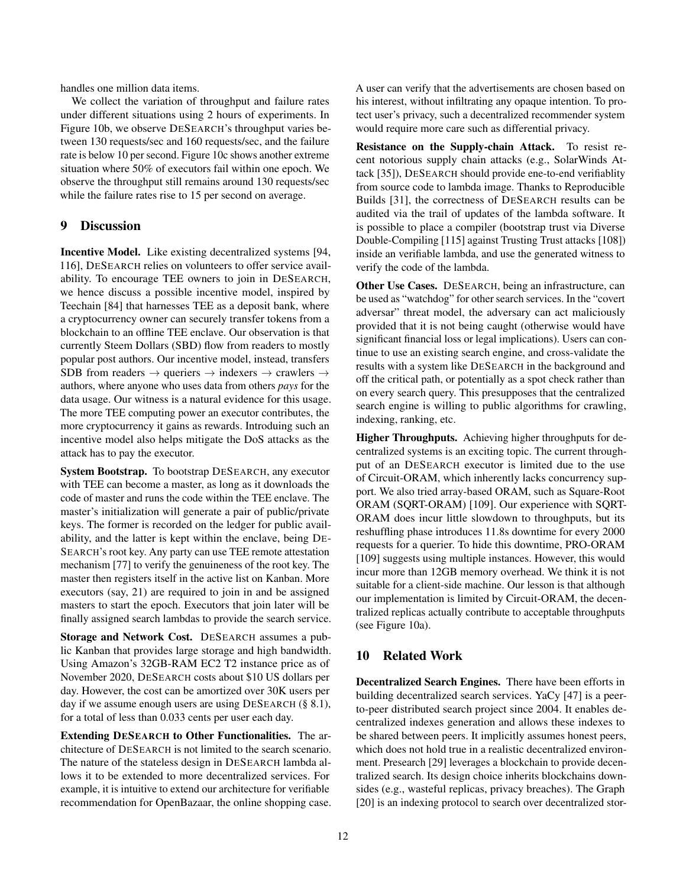handles one million data items.

We collect the variation of throughput and failure rates under different situations using 2 hours of experiments. In [Figure 10b,](#page-9-1) we observe DESEARCH's throughput varies between 130 requests/sec and 160 requests/sec, and the failure rate is below 10 per second. [Figure 10c](#page-9-1) shows another extreme situation where 50% of executors fail within one epoch. We observe the throughput still remains around 130 requests/sec while the failure rates rise to 15 per second on average.

## <span id="page-11-1"></span>9 Discussion

Incentive Model. Like existing decentralized systems [\[94,](#page-15-1) [116\]](#page-16-1), DESEARCH relies on volunteers to offer service availability. To encourage TEE owners to join in DESEARCH, we hence discuss a possible incentive model, inspired by Teechain [\[84\]](#page-15-22) that harnesses TEE as a deposit bank, where a cryptocurrency owner can securely transfer tokens from a blockchain to an offline TEE enclave. Our observation is that currently Steem Dollars (SBD) flow from readers to mostly popular post authors. Our incentive model, instead, transfers SDB from readers  $\rightarrow$  queriers  $\rightarrow$  indexers  $\rightarrow$  crawlers  $\rightarrow$ authors, where anyone who uses data from others *pays* for the data usage. Our witness is a natural evidence for this usage. The more TEE computing power an executor contributes, the more cryptocurrency it gains as rewards. Introduing such an incentive model also helps mitigate the DoS attacks as the attack has to pay the executor.

System Bootstrap. To bootstrap DESEARCH, any executor with TEE can become a master, as long as it downloads the code of master and runs the code within the TEE enclave. The master's initialization will generate a pair of public/private keys. The former is recorded on the ledger for public availability, and the latter is kept within the enclave, being DE-SEARCH's root key. Any party can use TEE remote attestation mechanism [\[77\]](#page-14-22) to verify the genuineness of the root key. The master then registers itself in the active list on Kanban. More executors (say, 21) are required to join in and be assigned masters to start the epoch. Executors that join later will be finally assigned search lambdas to provide the search service.

Storage and Network Cost. DESEARCH assumes a public Kanban that provides large storage and high bandwidth. Using Amazon's 32GB-RAM EC2 T2 instance price as of November 2020, DESEARCH costs about \$10 US dollars per day. However, the cost can be amortized over 30K users per day if we assume enough users are using DESEARCH [\(§ 8.1\)](#page-9-0), for a total of less than 0.033 cents per user each day.

Extending DESEARCH to Other Functionalities. The architecture of DESEARCH is not limited to the search scenario. The nature of the stateless design in DESEARCH lambda allows it to be extended to more decentralized services. For example, it is intuitive to extend our architecture for verifiable recommendation for OpenBazaar, the online shopping case.

A user can verify that the advertisements are chosen based on his interest, without infiltrating any opaque intention. To protect user's privacy, such a decentralized recommender system would require more care such as differential privacy.

Resistance on the Supply-chain Attack. To resist recent notorious supply chain attacks (e.g., SolarWinds Attack [\[35\]](#page-13-42)), DESEARCH should provide ene-to-end verifiablity from source code to lambda image. Thanks to Reproducible Builds [\[31\]](#page-13-43), the correctness of DESEARCH results can be audited via the trail of updates of the lambda software. It is possible to place a compiler (bootstrap trust via Diverse Double-Compiling [\[115\]](#page-16-12) against Trusting Trust attacks [\[108\]](#page-16-13)) inside an verifiable lambda, and use the generated witness to verify the code of the lambda.

Other Use Cases. DESEARCH, being an infrastructure, can be used as "watchdog" for other search services. In the "covert adversar" threat model, the adversary can act maliciously provided that it is not being caught (otherwise would have significant financial loss or legal implications). Users can continue to use an existing search engine, and cross-validate the results with a system like DESEARCH in the background and off the critical path, or potentially as a spot check rather than on every search query. This presupposes that the centralized search engine is willing to public algorithms for crawling, indexing, ranking, etc.

Higher Throughputs. Achieving higher throughputs for decentralized systems is an exciting topic. The current throughput of an DESEARCH executor is limited due to the use of Circuit-ORAM, which inherently lacks concurrency support. We also tried array-based ORAM, such as Square-Root ORAM (SQRT-ORAM) [\[109\]](#page-16-14). Our experience with SQRT-ORAM does incur little slowdown to throughputs, but its reshuffling phase introduces 11.8s downtime for every 2000 requests for a querier. To hide this downtime, PRO-ORAM [\[109\]](#page-16-14) suggests using multiple instances. However, this would incur more than 12GB memory overhead. We think it is not suitable for a client-side machine. Our lesson is that although our implementation is limited by Circuit-ORAM, the decentralized replicas actually contribute to acceptable throughputs (see [Figure 10a\)](#page-9-1).

# <span id="page-11-0"></span>10 Related Work

Decentralized Search Engines. There have been efforts in building decentralized search services. YaCy [\[47\]](#page-14-5) is a peerto-peer distributed search project since 2004. It enables decentralized indexes generation and allows these indexes to be shared between peers. It implicitly assumes honest peers, which does not hold true in a realistic decentralized environment. Presearch [\[29\]](#page-13-23) leverages a blockchain to provide decentralized search. Its design choice inherits blockchains downsides (e.g., wasteful replicas, privacy breaches). The Graph [\[20\]](#page-13-26) is an indexing protocol to search over decentralized stor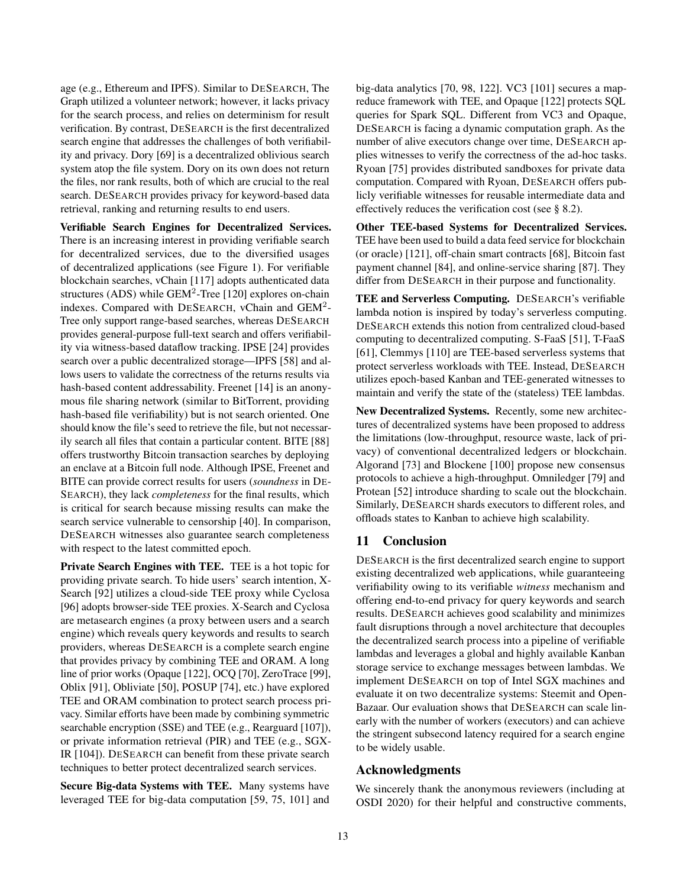age (e.g., Ethereum and IPFS). Similar to DESEARCH, The Graph utilized a volunteer network; however, it lacks privacy for the search process, and relies on determinism for result verification. By contrast, DESEARCH is the first decentralized search engine that addresses the challenges of both verifiability and privacy. Dory [\[69\]](#page-14-6) is a decentralized oblivious search system atop the file system. Dory on its own does not return the files, nor rank results, both of which are crucial to the real search. DESEARCH provides privacy for keyword-based data retrieval, ranking and returning results to end users.

Verifiable Search Engines for Decentralized Services. There is an increasing interest in providing verifiable search for decentralized services, due to the diversified usages of decentralized applications (see [Figure 1\)](#page-0-0). For verifiable blockchain searches, vChain [\[117\]](#page-16-3) adopts authenticated data structures (ADS) while GEM<sup>2</sup>-Tree [\[120\]](#page-16-4) explores on-chain indexes. Compared with DESEARCH, vChain and GEM<sup>2</sup>-Tree only support range-based searches, whereas DESEARCH provides general-purpose full-text search and offers verifiability via witness-based dataflow tracking. IPSE [\[24\]](#page-13-25) provides search over a public decentralized storage—IPFS [\[58\]](#page-14-1) and allows users to validate the correctness of the returns results via hash-based content addressability. Freenet [\[14\]](#page-13-44) is an anonymous file sharing network (similar to BitTorrent, providing hash-based file verifiability) but is not search oriented. One should know the file's seed to retrieve the file, but not necessarily search all files that contain a particular content. BITE [\[88\]](#page-15-4) offers trustworthy Bitcoin transaction searches by deploying an enclave at a Bitcoin full node. Although IPSE, Freenet and BITE can provide correct results for users (*soundness* in DE-SEARCH), they lack *completeness* for the final results, which is critical for search because missing results can make the search service vulnerable to censorship [\[40\]](#page-13-5). In comparison, DESEARCH witnesses also guarantee search completeness with respect to the latest committed epoch.

Private Search Engines with TEE. TEE is a hot topic for providing private search. To hide users' search intention, X-Search [\[92\]](#page-15-6) utilizes a cloud-side TEE proxy while Cyclosa [\[96\]](#page-15-7) adopts browser-side TEE proxies. X-Search and Cyclosa are metasearch engines (a proxy between users and a search engine) which reveals query keywords and results to search providers, whereas DESEARCH is a complete search engine that provides privacy by combining TEE and ORAM. A long line of prior works (Opaque [\[122\]](#page-16-15), OCQ [\[70\]](#page-14-23), ZeroTrace [\[99\]](#page-15-3), Oblix [\[91\]](#page-15-5), Obliviate [\[50\]](#page-14-24), POSUP [\[74\]](#page-14-25), etc.) have explored TEE and ORAM combination to protect search process privacy. Similar efforts have been made by combining symmetric searchable encryption (SSE) and TEE (e.g., Rearguard [\[107\]](#page-16-2)), or private information retrieval (PIR) and TEE (e.g., SGX-IR [\[104\]](#page-15-23)). DESEARCH can benefit from these private search techniques to better protect decentralized search services.

Secure Big-data Systems with TEE. Many systems have leveraged TEE for big-data computation [\[59,](#page-14-26) [75,](#page-14-12) [101\]](#page-15-13) and big-data analytics [\[70,](#page-14-23) [98,](#page-15-24) [122\]](#page-16-15). VC3 [\[101\]](#page-15-13) secures a mapreduce framework with TEE, and Opaque [\[122\]](#page-16-15) protects SQL queries for Spark SQL. Different from VC3 and Opaque, DESEARCH is facing a dynamic computation graph. As the number of alive executors change over time, DESEARCH applies witnesses to verify the correctness of the ad-hoc tasks. Ryoan [\[75\]](#page-14-12) provides distributed sandboxes for private data computation. Compared with Ryoan, DESEARCH offers publicly verifiable witnesses for reusable intermediate data and effectively reduces the verification cost (see [§ 8.2\)](#page-10-0).

Other TEE-based Systems for Decentralized Services. TEE have been used to build a data feed service for blockchain (or oracle) [\[121\]](#page-16-16), off-chain smart contracts [\[68\]](#page-14-27), Bitcoin fast payment channel [\[84\]](#page-15-22), and online-service sharing [\[87\]](#page-15-25). They differ from DESEARCH in their purpose and functionality.

TEE and Serverless Computing. DESEARCH's verifiable lambda notion is inspired by today's serverless computing. DESEARCH extends this notion from centralized cloud-based computing to decentralized computing. S-FaaS [\[51\]](#page-14-28), T-FaaS [\[61\]](#page-14-29), Clemmys [\[110\]](#page-16-17) are TEE-based serverless systems that protect serverless workloads with TEE. Instead, DESEARCH utilizes epoch-based Kanban and TEE-generated witnesses to maintain and verify the state of the (stateless) TEE lambdas.

New Decentralized Systems. Recently, some new architectures of decentralized systems have been proposed to address the limitations (low-throughput, resource waste, lack of privacy) of conventional decentralized ledgers or blockchain. Algorand [\[73\]](#page-14-30) and Blockene [\[100\]](#page-15-26) propose new consensus protocols to achieve a high-throughput. Omniledger [\[79\]](#page-15-27) and Protean [\[52\]](#page-14-31) introduce sharding to scale out the blockchain. Similarly, DESEARCH shards executors to different roles, and offloads states to Kanban to achieve high scalability.

# 11 Conclusion

DESEARCH is the first decentralized search engine to support existing decentralized web applications, while guaranteeing verifiability owing to its verifiable *witness* mechanism and offering end-to-end privacy for query keywords and search results. DESEARCH achieves good scalability and minimizes fault disruptions through a novel architecture that decouples the decentralized search process into a pipeline of verifiable lambdas and leverages a global and highly available Kanban storage service to exchange messages between lambdas. We implement DESEARCH on top of Intel SGX machines and evaluate it on two decentralize systems: Steemit and Open-Bazaar. Our evaluation shows that DESEARCH can scale linearly with the number of workers (executors) and can achieve the stringent subsecond latency required for a search engine to be widely usable.

## Acknowledgments

We sincerely thank the anonymous reviewers (including at OSDI 2020) for their helpful and constructive comments,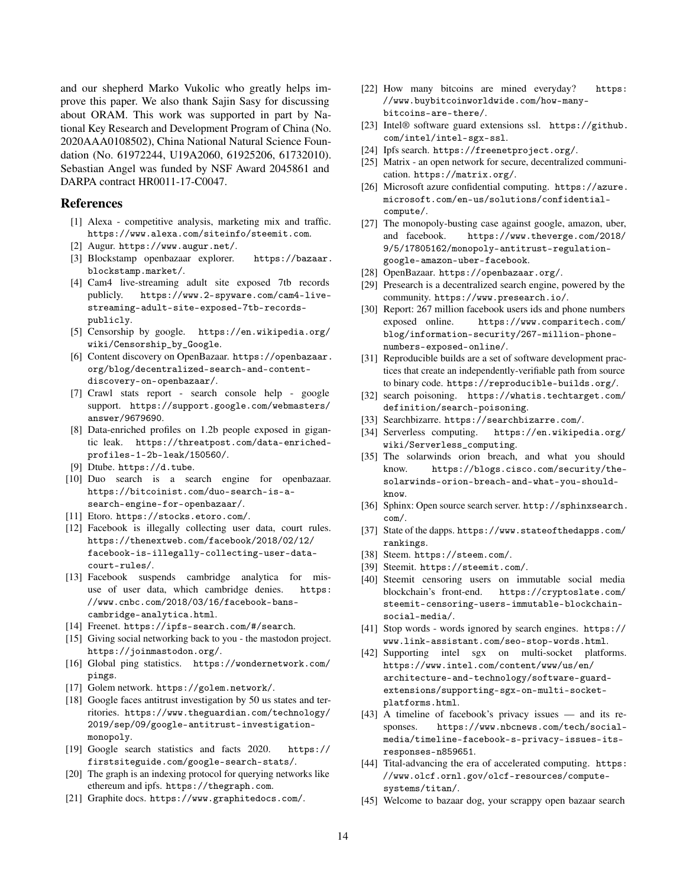and our shepherd Marko Vukolic who greatly helps improve this paper. We also thank Sajin Sasy for discussing about ORAM. This work was supported in part by National Key Research and Development Program of China (No. 2020AAA0108502), China National Natural Science Foundation (No. 61972244, U19A2060, 61925206, 61732010). Sebastian Angel was funded by NSF Award 2045861 and DARPA contract HR0011-17-C0047.

## References

- <span id="page-13-40"></span>[1] Alexa - competitive analysis, marketing mix and traffic. <https://www.alexa.com/siteinfo/steemit.com>.
- <span id="page-13-14"></span>[2] Augur. <https://www.augur.net/>.
- <span id="page-13-28"></span>[3] Blockstamp openbazaar explorer. [https://bazaar.](https://bazaar.blockstamp.market/) [blockstamp.market/](https://bazaar.blockstamp.market/).
- <span id="page-13-20"></span>[4] Cam4 live-streaming adult site exposed 7tb records publicly. [https://www.2-spyware.com/cam4-live](https://www.2-spyware.com/cam4-live-streaming-adult-site-exposed-7tb-records-publicly)[streaming-adult-site-exposed-7tb-records](https://www.2-spyware.com/cam4-live-streaming-adult-site-exposed-7tb-records-publicly)[publicly](https://www.2-spyware.com/cam4-live-streaming-adult-site-exposed-7tb-records-publicly).
- <span id="page-13-4"></span>[5] Censorship by google. [https://en.wikipedia.org/](https://en.wikipedia.org/wiki/Censorship_by_Google) [wiki/Censorship\\_by\\_Google](https://en.wikipedia.org/wiki/Censorship_by_Google).
- <span id="page-13-27"></span>[6] Content discovery on OpenBazaar. [https://openbazaar.](https://openbazaar.org/blog/decentralized-search-and-content-discovery-on-openbazaar/) [org/blog/decentralized-search-and-content](https://openbazaar.org/blog/decentralized-search-and-content-discovery-on-openbazaar/)[discovery-on-openbazaar/](https://openbazaar.org/blog/decentralized-search-and-content-discovery-on-openbazaar/).
- <span id="page-13-32"></span>[7] Crawl stats report - search console help - google support. [https://support.google.com/webmasters/](https://support.google.com/webmasters/answer/9679690) [answer/9679690](https://support.google.com/webmasters/answer/9679690).
- <span id="page-13-21"></span>[8] Data-enriched profiles on 1.2b people exposed in gigantic leak. [https://threatpost.com/data-enriched](https://threatpost.com/data-enriched-profiles-1-2b-leak/150560/)[profiles-1-2b-leak/150560/](https://threatpost.com/data-enriched-profiles-1-2b-leak/150560/).
- <span id="page-13-10"></span>[9] Dtube. <https://d.tube>.
- <span id="page-13-19"></span>[10] Duo search is a search engine for openbazaar. [https://bitcoinist.com/duo-search-is-a](https://bitcoinist.com/duo-search-is-a-search-engine-for-openbazaar/)[search-engine-for-openbazaar/](https://bitcoinist.com/duo-search-is-a-search-engine-for-openbazaar/).
- <span id="page-13-13"></span>[11] Etoro. <https://stocks.etoro.com/>.
- <span id="page-13-6"></span>[12] Facebook is illegally collecting user data, court rules. [https://thenextweb.com/facebook/2018/02/12/](https://thenextweb.com/facebook/2018/02/12/facebook-is-illegally-collecting-user-data-court-rules/) [facebook-is-illegally-collecting-user-data](https://thenextweb.com/facebook/2018/02/12/facebook-is-illegally-collecting-user-data-court-rules/)[court-rules/](https://thenextweb.com/facebook/2018/02/12/facebook-is-illegally-collecting-user-data-court-rules/).
- <span id="page-13-7"></span>[13] Facebook suspends cambridge analytica for misuse of user data, which cambridge denies. [https:](https://www.cnbc.com/2018/03/16/facebook-bans-cambridge-analytica.html) [//www.cnbc.com/2018/03/16/facebook-bans](https://www.cnbc.com/2018/03/16/facebook-bans-cambridge-analytica.html)[cambridge-analytica.html](https://www.cnbc.com/2018/03/16/facebook-bans-cambridge-analytica.html).
- <span id="page-13-44"></span>[14] Freenet. <https://ipfs-search.com/#/search>.
- <span id="page-13-11"></span>[15] Giving social networking back to you - the mastodon project. <https://joinmastodon.org/>.
- <span id="page-13-37"></span>[16] Global ping statistics. [https://wondernetwork.com/](https://wondernetwork.com/pings) [pings](https://wondernetwork.com/pings).
- <span id="page-13-16"></span>[17] Golem network. <https://golem.network/>.
- <span id="page-13-1"></span>[18] Google faces antitrust investigation by 50 us states and territories. [https://www.theguardian.com/technology/](https://www.theguardian.com/technology/2019/sep/09/google-antitrust-investigation-monopoly) [2019/sep/09/google-antitrust-investigation](https://www.theguardian.com/technology/2019/sep/09/google-antitrust-investigation-monopoly)[monopoly](https://www.theguardian.com/technology/2019/sep/09/google-antitrust-investigation-monopoly).
- <span id="page-13-39"></span>[19] Google search statistics and facts 2020. [https://](https://firstsiteguide.com/google-search-stats/) [firstsiteguide.com/google-search-stats/](https://firstsiteguide.com/google-search-stats/).
- <span id="page-13-26"></span>[20] The graph is an indexing protocol for querying networks like ethereum and ipfs. <https://thegraph.com>.
- <span id="page-13-17"></span>[21] Graphite docs. <https://www.graphitedocs.com/>.
- <span id="page-13-35"></span>[22] How many bitcoins are mined everyday? [https:](https://www.buybitcoinworldwide.com/how-many-bitcoins-are-there/) [//www.buybitcoinworldwide.com/how-many](https://www.buybitcoinworldwide.com/how-many-bitcoins-are-there/)[bitcoins-are-there/](https://www.buybitcoinworldwide.com/how-many-bitcoins-are-there/).
- <span id="page-13-36"></span>[23] Intel® software guard extensions ssl. [https://github.](https://github.com/intel/intel-sgx-ssl) [com/intel/intel-sgx-ssl](https://github.com/intel/intel-sgx-ssl).
- <span id="page-13-25"></span>[24] Ipfs search. <https://freenetproject.org/>.
- <span id="page-13-12"></span>[25] Matrix - an open network for secure, decentralized communication. <https://matrix.org/>.
- <span id="page-13-33"></span>[26] Microsoft azure confidential computing. [https://azure.](https://azure.microsoft.com/en-us/solutions/confidential-compute/) [microsoft.com/en-us/solutions/confidential](https://azure.microsoft.com/en-us/solutions/confidential-compute/)[compute/](https://azure.microsoft.com/en-us/solutions/confidential-compute/).
- <span id="page-13-2"></span>[27] The monopoly-busting case against google, amazon, uber, and facebook. [https://www.theverge.com/2018/](https://www.theverge.com/2018/9/5/17805162/monopoly-antitrust-regulation-google-amazon-uber-facebook) [9/5/17805162/monopoly-antitrust-regulation](https://www.theverge.com/2018/9/5/17805162/monopoly-antitrust-regulation-google-amazon-uber-facebook)[google-amazon-uber-facebook](https://www.theverge.com/2018/9/5/17805162/monopoly-antitrust-regulation-google-amazon-uber-facebook).
- <span id="page-13-8"></span>[28] OpenBazaar. <https://openbazaar.org/>.
- <span id="page-13-23"></span>[29] Presearch is a decentralized search engine, powered by the community. <https://www.presearch.io/>.
- <span id="page-13-22"></span>[30] Report: 267 million facebook users ids and phone numbers exposed online. [https://www.comparitech.com/](https://www.comparitech.com/blog/information-security/267-million-phone-numbers-exposed-online/) [blog/information-security/267-million-phone](https://www.comparitech.com/blog/information-security/267-million-phone-numbers-exposed-online/)[numbers-exposed-online/](https://www.comparitech.com/blog/information-security/267-million-phone-numbers-exposed-online/).
- <span id="page-13-43"></span>[31] Reproducible builds are a set of software development practices that create an independently-verifiable path from source to binary code. <https://reproducible-builds.org/>.
- <span id="page-13-24"></span>[32] search poisoning. [https://whatis.techtarget.com/](https://whatis.techtarget.com/definition/search-poisoning) [definition/search-poisoning](https://whatis.techtarget.com/definition/search-poisoning).
- <span id="page-13-29"></span>[33] Searchbizarre. <https://searchbizarre.com/>.
- <span id="page-13-31"></span>[34] Serverless computing. [https://en.wikipedia.org/](https://en.wikipedia.org/wiki/Serverless_computing) [wiki/Serverless\\_computing](https://en.wikipedia.org/wiki/Serverless_computing).
- <span id="page-13-42"></span>[35] The solarwinds orion breach, and what you should know. [https://blogs.cisco.com/security/the](https://blogs.cisco.com/security/the-solarwinds-orion-breach-and-what-you-should-know)[solarwinds-orion-breach-and-what-you-should](https://blogs.cisco.com/security/the-solarwinds-orion-breach-and-what-you-should-know)[know](https://blogs.cisco.com/security/the-solarwinds-orion-breach-and-what-you-should-know).
- <span id="page-13-34"></span>[36] Sphinx: Open source search server. [http://sphinxsearch.](http://sphinxsearch.com/) [com/](http://sphinxsearch.com/).
- <span id="page-13-41"></span>[37] State of the dapps. [https://www.stateofthedapps.com/](https://www.stateofthedapps.com/rankings) [rankings](https://www.stateofthedapps.com/rankings).
- <span id="page-13-0"></span>[38] Steem. <https://steem.com/>.
- <span id="page-13-9"></span>[39] Steemit. <https://steemit.com/>.
- <span id="page-13-5"></span>[40] Steemit censoring users on immutable social media blockchain's front-end. [https://cryptoslate.com/](https://cryptoslate.com/steemit-censoring-users-immutable-blockchain-social-media/) [steemit-censoring-users-immutable-blockchain](https://cryptoslate.com/steemit-censoring-users-immutable-blockchain-social-media/)[social-media/](https://cryptoslate.com/steemit-censoring-users-immutable-blockchain-social-media/).
- <span id="page-13-38"></span>[41] Stop words - words ignored by search engines. [https://](https://www.link-assistant.com/seo-stop-words.html) [www.link-assistant.com/seo-stop-words.html](https://www.link-assistant.com/seo-stop-words.html).
- <span id="page-13-30"></span>[42] Supporting intel sgx on multi-socket platforms. [https://www.intel.com/content/www/us/en/](https://www.intel.com/content/www/us/en/architecture-and-technology/software-guard-extensions/supporting-sgx-on-multi-socket-platforms.html) [architecture-and-technology/software-guard](https://www.intel.com/content/www/us/en/architecture-and-technology/software-guard-extensions/supporting-sgx-on-multi-socket-platforms.html)[extensions/supporting-sgx-on-multi-socket](https://www.intel.com/content/www/us/en/architecture-and-technology/software-guard-extensions/supporting-sgx-on-multi-socket-platforms.html)[platforms.html](https://www.intel.com/content/www/us/en/architecture-and-technology/software-guard-extensions/supporting-sgx-on-multi-socket-platforms.html).
- <span id="page-13-3"></span>[43] A timeline of facebook's privacy issues — and its responses. [https://www.nbcnews.com/tech/social](https://www.nbcnews.com/tech/social-media/timeline-facebook-s-privacy-issues-its-responses-n859651)[media/timeline-facebook-s-privacy-issues-its](https://www.nbcnews.com/tech/social-media/timeline-facebook-s-privacy-issues-its-responses-n859651)[responses-n859651](https://www.nbcnews.com/tech/social-media/timeline-facebook-s-privacy-issues-its-responses-n859651).
- <span id="page-13-15"></span>[44] Tital-advancing the era of accelerated computing. [https:](https://www.olcf.ornl.gov/olcf-resources/compute-systems/titan/) [//www.olcf.ornl.gov/olcf-resources/compute](https://www.olcf.ornl.gov/olcf-resources/compute-systems/titan/)[systems/titan/](https://www.olcf.ornl.gov/olcf-resources/compute-systems/titan/).
- <span id="page-13-18"></span>[45] Welcome to bazaar dog, your scrappy open bazaar search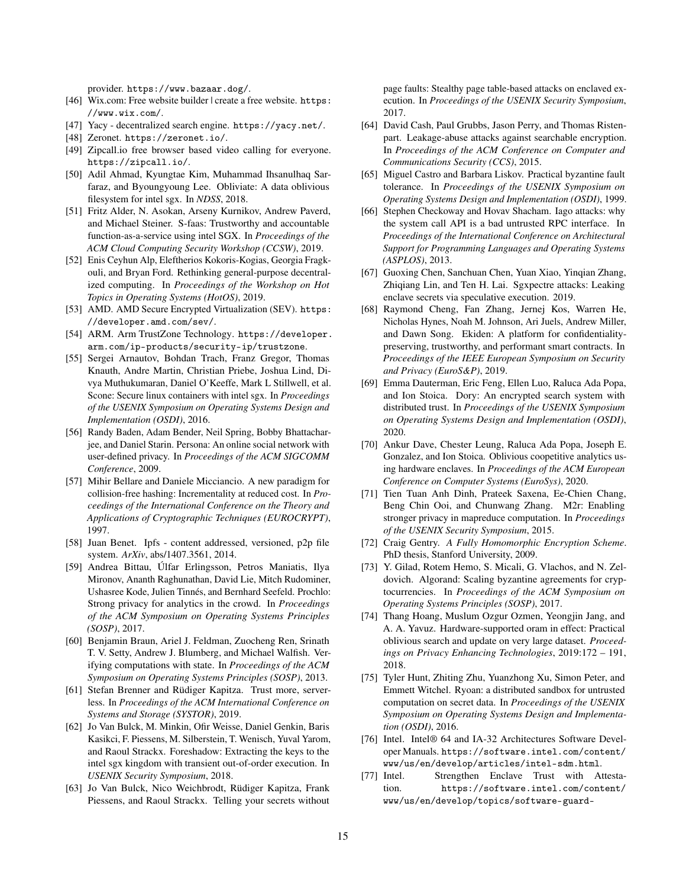provider. <https://www.bazaar.dog/>.

- <span id="page-14-3"></span>[46] Wix.com: Free website builder | create a free website. [https:](https://www.wix.com/) [//www.wix.com/](https://www.wix.com/).
- <span id="page-14-5"></span>[47] Yacy - decentralized search engine. <https://yacy.net/>.
- <span id="page-14-4"></span>[48] Zeronet. <https://zeronet.io/>.
- <span id="page-14-2"></span>[49] Zipcall.io free browser based video calling for everyone. <https://zipcall.io/>.
- <span id="page-14-24"></span>[50] Adil Ahmad, Kyungtae Kim, Muhammad Ihsanulhaq Sarfaraz, and Byoungyoung Lee. Obliviate: A data oblivious filesystem for intel sgx. In *NDSS*, 2018.
- <span id="page-14-28"></span>[51] Fritz Alder, N. Asokan, Arseny Kurnikov, Andrew Paverd, and Michael Steiner. S-faas: Trustworthy and accountable function-as-a-service using intel SGX. In *Proceedings of the ACM Cloud Computing Security Workshop (CCSW)*, 2019.
- <span id="page-14-31"></span>[52] Enis Ceyhun Alp, Eleftherios Kokoris-Kogias, Georgia Fragkouli, and Bryan Ford. Rethinking general-purpose decentralized computing. In *Proceedings of the Workshop on Hot Topics in Operating Systems (HotOS)*, 2019.
- <span id="page-14-11"></span>[53] AMD. AMD Secure Encrypted Virtualization (SEV). [https:](https://developer.amd.com/sev/) [//developer.amd.com/sev/](https://developer.amd.com/sev/).
- <span id="page-14-10"></span>[54] ARM. Arm TrustZone Technology. [https://developer.](https://developer.arm.com/ip-products/security-ip/trustzone) [arm.com/ip-products/security-ip/trustzone](https://developer.arm.com/ip-products/security-ip/trustzone).
- <span id="page-14-21"></span>[55] Sergei Arnautov, Bohdan Trach, Franz Gregor, Thomas Knauth, Andre Martin, Christian Priebe, Joshua Lind, Divya Muthukumaran, Daniel O'Keeffe, Mark L Stillwell, et al. Scone: Secure linux containers with intel sgx. In *Proceedings of the USENIX Symposium on Operating Systems Design and Implementation (OSDI)*, 2016.
- <span id="page-14-0"></span>[56] Randy Baden, Adam Bender, Neil Spring, Bobby Bhattacharjee, and Daniel Starin. Persona: An online social network with user-defined privacy. In *Proceedings of the ACM SIGCOMM Conference*, 2009.
- <span id="page-14-18"></span>[57] Mihir Bellare and Daniele Micciancio. A new paradigm for collision-free hashing: Incrementality at reduced cost. In *Proceedings of the International Conference on the Theory and Applications of Cryptographic Techniques (EUROCRYPT)*, 1997.
- <span id="page-14-1"></span>[58] Juan Benet. Ipfs - content addressed, versioned, p2p file system. *ArXiv*, abs/1407.3561, 2014.
- <span id="page-14-26"></span>[59] Andrea Bittau, Úlfar Erlingsson, Petros Maniatis, Ilya Mironov, Ananth Raghunathan, David Lie, Mitch Rudominer, Ushasree Kode, Julien Tinnés, and Bernhard Seefeld. Prochlo: Strong privacy for analytics in the crowd. In *Proceedings of the ACM Symposium on Operating Systems Principles (SOSP)*, 2017.
- <span id="page-14-9"></span>[60] Benjamin Braun, Ariel J. Feldman, Zuocheng Ren, Srinath T. V. Setty, Andrew J. Blumberg, and Michael Walfish. Verifying computations with state. In *Proceedings of the ACM Symposium on Operating Systems Principles (SOSP)*, 2013.
- <span id="page-14-29"></span>[61] Stefan Brenner and Rüdiger Kapitza. Trust more, serverless. In *Proceedings of the ACM International Conference on Systems and Storage (SYSTOR)*, 2019.
- <span id="page-14-13"></span>[62] Jo Van Bulck, M. Minkin, Ofir Weisse, Daniel Genkin, Baris Kasikci, F. Piessens, M. Silberstein, T. Wenisch, Yuval Yarom, and Raoul Strackx. Foreshadow: Extracting the keys to the intel sgx kingdom with transient out-of-order execution. In *USENIX Security Symposium*, 2018.
- <span id="page-14-14"></span>[63] Jo Van Bulck, Nico Weichbrodt, Rüdiger Kapitza, Frank Piessens, and Raoul Strackx. Telling your secrets without

page faults: Stealthy page table-based attacks on enclaved execution. In *Proceedings of the USENIX Security Symposium*, 2017.

- <span id="page-14-17"></span>[64] David Cash, Paul Grubbs, Jason Perry, and Thomas Ristenpart. Leakage-abuse attacks against searchable encryption. In *Proceedings of the ACM Conference on Computer and Communications Security (CCS)*, 2015.
- <span id="page-14-7"></span>[65] Miguel Castro and Barbara Liskov. Practical byzantine fault tolerance. In *Proceedings of the USENIX Symposium on Operating Systems Design and Implementation (OSDI)*, 1999.
- <span id="page-14-16"></span>[66] Stephen Checkoway and Hovav Shacham. Iago attacks: why the system call API is a bad untrusted RPC interface. In *Proceedings of the International Conference on Architectural Support for Programming Languages and Operating Systems (ASPLOS)*, 2013.
- <span id="page-14-19"></span>[67] Guoxing Chen, Sanchuan Chen, Yuan Xiao, Yinqian Zhang, Zhiqiang Lin, and Ten H. Lai. Sgxpectre attacks: Leaking enclave secrets via speculative execution. 2019.
- <span id="page-14-27"></span>[68] Raymond Cheng, Fan Zhang, Jernej Kos, Warren He, Nicholas Hynes, Noah M. Johnson, Ari Juels, Andrew Miller, and Dawn Song. Ekiden: A platform for confidentialitypreserving, trustworthy, and performant smart contracts. In *Proceedings of the IEEE European Symposium on Security and Privacy (EuroS&P)*, 2019.
- <span id="page-14-6"></span>[69] Emma Dauterman, Eric Feng, Ellen Luo, Raluca Ada Popa, and Ion Stoica. Dory: An encrypted search system with distributed trust. In *Proceedings of the USENIX Symposium on Operating Systems Design and Implementation (OSDI)*, 2020.
- <span id="page-14-23"></span>[70] Ankur Dave, Chester Leung, Raluca Ada Popa, Joseph E. Gonzalez, and Ion Stoica. Oblivious coopetitive analytics using hardware enclaves. In *Proceedings of the ACM European Conference on Computer Systems (EuroSys)*, 2020.
- <span id="page-14-15"></span>[71] Tien Tuan Anh Dinh, Prateek Saxena, Ee-Chien Chang, Beng Chin Ooi, and Chunwang Zhang. M2r: Enabling stronger privacy in mapreduce computation. In *Proceedings of the USENIX Security Symposium*, 2015.
- <span id="page-14-8"></span>[72] Craig Gentry. *A Fully Homomorphic Encryption Scheme*. PhD thesis, Stanford University, 2009.
- <span id="page-14-30"></span>[73] Y. Gilad, Rotem Hemo, S. Micali, G. Vlachos, and N. Zeldovich. Algorand: Scaling byzantine agreements for cryptocurrencies. In *Proceedings of the ACM Symposium on Operating Systems Principles (SOSP)*, 2017.
- <span id="page-14-25"></span>[74] Thang Hoang, Muslum Ozgur Ozmen, Yeongjin Jang, and A. A. Yavuz. Hardware-supported oram in effect: Practical oblivious search and update on very large dataset. *Proceedings on Privacy Enhancing Technologies*, 2019:172 – 191, 2018.
- <span id="page-14-12"></span>[75] Tyler Hunt, Zhiting Zhu, Yuanzhong Xu, Simon Peter, and Emmett Witchel. Ryoan: a distributed sandbox for untrusted computation on secret data. In *Proceedings of the USENIX Symposium on Operating Systems Design and Implementation (OSDI)*, 2016.
- <span id="page-14-20"></span>[76] Intel. Intel® 64 and IA-32 Architectures Software Developer Manuals. [https://software.intel.com/content/](https://software.intel.com/content/www/us/en/develop/articles/intel-sdm.html) [www/us/en/develop/articles/intel-sdm.html](https://software.intel.com/content/www/us/en/develop/articles/intel-sdm.html).
- <span id="page-14-22"></span>[77] Intel. Strengthen Enclave Trust with Attestation. [https://software.intel.com/content/](https://software.intel.com/content/www/us/en/develop/topics/software-guard-extensions/attestation-services.html) [www/us/en/develop/topics/software-guard-](https://software.intel.com/content/www/us/en/develop/topics/software-guard-extensions/attestation-services.html)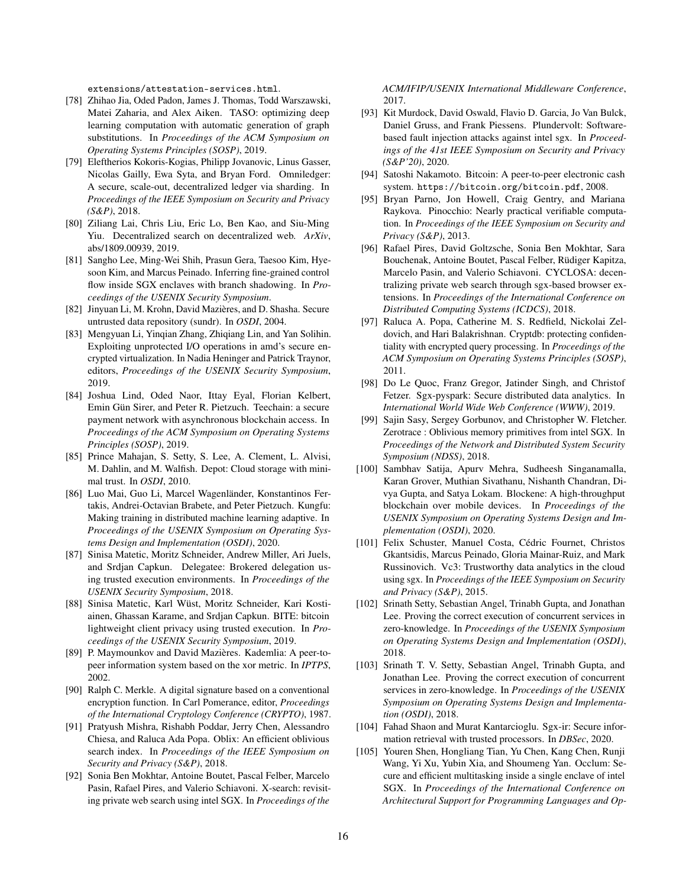[extensions/attestation-services.html](https://software.intel.com/content/www/us/en/develop/topics/software-guard-extensions/attestation-services.html).

- <span id="page-15-15"></span>[78] Zhihao Jia, Oded Padon, James J. Thomas, Todd Warszawski, Matei Zaharia, and Alex Aiken. TASO: optimizing deep learning computation with automatic generation of graph substitutions. In *Proceedings of the ACM Symposium on Operating Systems Principles (SOSP)*, 2019.
- <span id="page-15-27"></span>[79] Eleftherios Kokoris-Kogias, Philipp Jovanovic, Linus Gasser, Nicolas Gailly, Ewa Syta, and Bryan Ford. Omniledger: A secure, scale-out, decentralized ledger via sharding. In *Proceedings of the IEEE Symposium on Security and Privacy (S&P)*, 2018.
- <span id="page-15-2"></span>[80] Ziliang Lai, Chris Liu, Eric Lo, Ben Kao, and Siu-Ming Yiu. Decentralized search on decentralized web. *ArXiv*, abs/1809.00939, 2019.
- <span id="page-15-21"></span>[81] Sangho Lee, Ming-Wei Shih, Prasun Gera, Taesoo Kim, Hyesoon Kim, and Marcus Peinado. Inferring fine-grained control flow inside SGX enclaves with branch shadowing. In *Proceedings of the USENIX Security Symposium*.
- <span id="page-15-18"></span>[82] Jinyuan Li, M. Krohn, David Mazières, and D. Shasha. Secure untrusted data repository (sundr). In *OSDI*, 2004.
- <span id="page-15-12"></span>[83] Mengyuan Li, Yinqian Zhang, Zhiqiang Lin, and Yan Solihin. Exploiting unprotected I/O operations in amd's secure encrypted virtualization. In Nadia Heninger and Patrick Traynor, editors, *Proceedings of the USENIX Security Symposium*, 2019.
- <span id="page-15-22"></span>[84] Joshua Lind, Oded Naor, Ittay Eyal, Florian Kelbert, Emin Gün Sirer, and Peter R. Pietzuch. Teechain: a secure payment network with asynchronous blockchain access. In *Proceedings of the ACM Symposium on Operating Systems Principles (SOSP)*, 2019.
- <span id="page-15-19"></span>[85] Prince Mahajan, S. Setty, S. Lee, A. Clement, L. Alvisi, M. Dahlin, and M. Walfish. Depot: Cloud storage with minimal trust. In *OSDI*, 2010.
- <span id="page-15-16"></span>[86] Luo Mai, Guo Li, Marcel Wagenländer, Konstantinos Fertakis, Andrei-Octavian Brabete, and Peter Pietzuch. Kungfu: Making training in distributed machine learning adaptive. In *Proceedings of the USENIX Symposium on Operating Systems Design and Implementation (OSDI)*, 2020.
- <span id="page-15-25"></span>[87] Sinisa Matetic, Moritz Schneider, Andrew Miller, Ari Juels, and Srdjan Capkun. Delegatee: Brokered delegation using trusted execution environments. In *Proceedings of the USENIX Security Symposium*, 2018.
- <span id="page-15-4"></span>[88] Sinisa Matetic, Karl Wüst, Moritz Schneider, Kari Kostiainen, Ghassan Karame, and Srdjan Capkun. BITE: bitcoin lightweight client privacy using trusted execution. In *Proceedings of the USENIX Security Symposium*, 2019.
- <span id="page-15-0"></span>[89] P. Maymounkov and David Mazières. Kademlia: A peer-topeer information system based on the xor metric. In *IPTPS*, 2002.
- <span id="page-15-20"></span>[90] Ralph C. Merkle. A digital signature based on a conventional encryption function. In Carl Pomerance, editor, *Proceedings of the International Cryptology Conference (CRYPTO)*, 1987.
- <span id="page-15-5"></span>[91] Pratyush Mishra, Rishabh Poddar, Jerry Chen, Alessandro Chiesa, and Raluca Ada Popa. Oblix: An efficient oblivious search index. In *Proceedings of the IEEE Symposium on Security and Privacy (S&P)*, 2018.
- <span id="page-15-6"></span>[92] Sonia Ben Mokhtar, Antoine Boutet, Pascal Felber, Marcelo Pasin, Rafael Pires, and Valerio Schiavoni. X-search: revisiting private web search using intel SGX. In *Proceedings of the*

*ACM/IFIP/USENIX International Middleware Conference*, 2017.

- <span id="page-15-14"></span>[93] Kit Murdock, David Oswald, Flavio D. Garcia, Jo Van Bulck, Daniel Gruss, and Frank Piessens. Plundervolt: Softwarebased fault injection attacks against intel sgx. In *Proceedings of the 41st IEEE Symposium on Security and Privacy (S&P'20)*, 2020.
- <span id="page-15-1"></span>[94] Satoshi Nakamoto. Bitcoin: A peer-to-peer electronic cash system. <https://bitcoin.org/bitcoin.pdf>, 2008.
- <span id="page-15-10"></span>[95] Bryan Parno, Jon Howell, Craig Gentry, and Mariana Raykova. Pinocchio: Nearly practical verifiable computation. In *Proceedings of the IEEE Symposium on Security and Privacy (S&P)*, 2013.
- <span id="page-15-7"></span>[96] Rafael Pires, David Goltzsche, Sonia Ben Mokhtar, Sara Bouchenak, Antoine Boutet, Pascal Felber, Rüdiger Kapitza, Marcelo Pasin, and Valerio Schiavoni. CYCLOSA: decentralizing private web search through sgx-based browser extensions. In *Proceedings of the International Conference on Distributed Computing Systems (ICDCS)*, 2018.
- <span id="page-15-8"></span>[97] Raluca A. Popa, Catherine M. S. Redfield, Nickolai Zeldovich, and Hari Balakrishnan. Cryptdb: protecting confidentiality with encrypted query processing. In *Proceedings of the ACM Symposium on Operating Systems Principles (SOSP)*, 2011.
- <span id="page-15-24"></span>[98] Do Le Quoc, Franz Gregor, Jatinder Singh, and Christof Fetzer. Sgx-pyspark: Secure distributed data analytics. In *International World Wide Web Conference (WWW)*, 2019.
- <span id="page-15-3"></span>[99] Sajin Sasy, Sergey Gorbunov, and Christopher W. Fletcher. Zerotrace : Oblivious memory primitives from intel SGX. In *Proceedings of the Network and Distributed System Security Symposium (NDSS)*, 2018.
- <span id="page-15-26"></span>[100] Sambhav Satija, Apurv Mehra, Sudheesh Singanamalla, Karan Grover, Muthian Sivathanu, Nishanth Chandran, Divya Gupta, and Satya Lokam. Blockene: A high-throughput blockchain over mobile devices. In *Proceedings of the USENIX Symposium on Operating Systems Design and Implementation (OSDI)*, 2020.
- <span id="page-15-13"></span>[101] Felix Schuster, Manuel Costa, Cédric Fournet, Christos Gkantsidis, Marcus Peinado, Gloria Mainar-Ruiz, and Mark Russinovich. Vc3: Trustworthy data analytics in the cloud using sgx. In *Proceedings of the IEEE Symposium on Security and Privacy (S&P)*, 2015.
- <span id="page-15-9"></span>[102] Srinath Setty, Sebastian Angel, Trinabh Gupta, and Jonathan Lee. Proving the correct execution of concurrent services in zero-knowledge. In *Proceedings of the USENIX Symposium on Operating Systems Design and Implementation (OSDI)*, 2018.
- <span id="page-15-11"></span>[103] Srinath T. V. Setty, Sebastian Angel, Trinabh Gupta, and Jonathan Lee. Proving the correct execution of concurrent services in zero-knowledge. In *Proceedings of the USENIX Symposium on Operating Systems Design and Implementation (OSDI)*, 2018.
- <span id="page-15-23"></span>[104] Fahad Shaon and Murat Kantarcioglu. Sgx-ir: Secure information retrieval with trusted processors. In *DBSec*, 2020.
- <span id="page-15-17"></span>[105] Youren Shen, Hongliang Tian, Yu Chen, Kang Chen, Runji Wang, Yi Xu, Yubin Xia, and Shoumeng Yan. Occlum: Secure and efficient multitasking inside a single enclave of intel SGX. In *Proceedings of the International Conference on Architectural Support for Programming Languages and Op-*